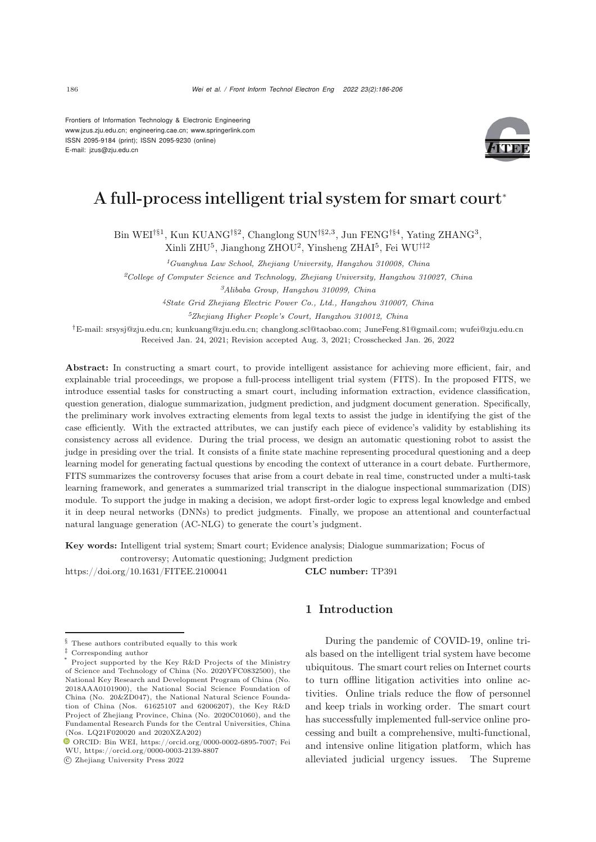Frontiers of Information Technology & Electronic Engineering [www.jzus.zju.edu.cn;](www.jzus.zju.edu.cn) [engineering.cae.cn;](engineering.cae.cn)<www.springerlink.com> ISSN 2095-9184 (print); ISSN 2095-9230 (online) E-mail: jzus@zju.edu.cn



# A full-process intelligent trial system for smart court<sup>∗</sup>

Bin WEI†§1, Kun KUANG†§2, Changlong SUN†§2,3, Jun FENG†§4, Yating ZHANG<sup>3</sup>, Xinli ZHU<sup>5</sup>, Jianghong ZHOU<sup>2</sup>, Yinsheng ZHAI<sup>5</sup>, Fei WU†‡<sup>2</sup>

*<sup>1</sup>Guanghua Law School, Zhejiang University, Hangzhou 310008, China*

*<sup>2</sup>College of Computer Science and Technology, Zhejiang University, Hangzhou 310027, China*

*<sup>3</sup>Alibaba Group, Hangzhou 310099, China*

*<sup>4</sup>State Grid Zhejiang Electric Power Co., Ltd., Hangzhou 310007, China*

*<sup>5</sup>Zhejiang Higher People's Court, Hangzhou 310012, China*

*†*E-mail: srsysj@zju.edu.cn; kunkuang@zju.edu.cn; changlong.scl@taobao.com; JuneFeng.81@gmail.com; wufei@zju.edu.cn Received Jan. 24, 2021; Revision accepted Aug. 3, 2021; Crosschecked Jan. 26, 2022

Abstract: In constructing a smart court, to provide intelligent assistance for achieving more efficient, fair, and explainable trial proceedings, we propose a full-process intelligent trial system (FITS). In the proposed FITS, we introduce essential tasks for constructing a smart court, including information extraction, evidence classification, question generation, dialogue summarization, judgment prediction, and judgment document generation. Specifically, the preliminary work involves extracting elements from legal texts to assist the judge in identifying the gist of the case efficiently. With the extracted attributes, we can justify each piece of evidence's validity by establishing its consistency across all evidence. During the trial process, we design an automatic questioning robot to assist the judge in presiding over the trial. It consists of a finite state machine representing procedural questioning and a deep learning model for generating factual questions by encoding the context of utterance in a court debate. Furthermore, FITS summarizes the controversy focuses that arise from a court debate in real time, constructed under a multi-task learning framework, and generates a summarized trial transcript in the dialogue inspectional summarization (DIS) module. To support the judge in making a decision, we adopt first-order logic to express legal knowledge and embed it in deep neural networks (DNNs) to predict judgments. Finally, we propose an attentional and counterfactual natural language generation (AC-NLG) to generate the court's judgment.

Key words: Intelligent trial system; Smart court; Evidence analysis; Dialogue summarization; Focus of

controversy; Automatic questioning; Judgment prediction

https://doi.org/10.1631/FITEE.2100041 CLC number: TP391

These authors contributed equally to this work

c Zhejiang University Press 2022

# 1 Introduction

During the pandemic of COVID-19, online trials based on the intelligent trial system have become ubiquitous. The smart court relies on Internet courts to turn offline litigation activities into online activities. Online trials reduce the flow of personnel and keep trials in working order. The smart court has successfully implemented full-service online processing and built a comprehensive, multi-functional, and intensive online litigation platform, which has alleviated judicial urgency issues. The Supreme

*<sup>‡</sup>* Corresponding author

Project supported by the Key R&D Projects of the Ministry of Science and Technology of China (No. 2020YFC0832500), the National Key Research and Development Program of China (No. 2018AAA0101900), the National Social Science Foundation of China (No. 20&ZD047), the National Natural Science Foundation of China (Nos. 61625107 and 62006207), the Key R&D Project of Zhejiang Province, China (No. 2020C01060), and the Fundamental Research Funds for the Central Universities, China (Nos. LQ21F020020 and 2020XZA202)

ORCID: Bin WEI, https://orcid.org/0000-0002-6895-7007; Fei WU, https://orcid.org/0000-0003-2139-8807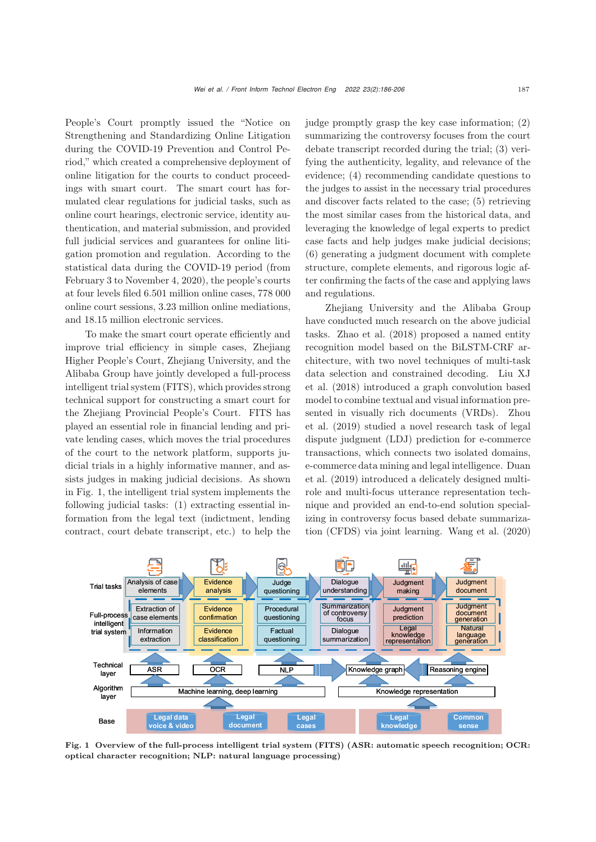People's Court promptly issued the "Notice on Strengthening and Standardizing Online Litigation during the COVID-19 Prevention and Control Period," which created a comprehensive deployment of online litigation for the courts to conduct proceedings with smart court. The smart court has formulated clear regulations for judicial tasks, such as online court hearings, electronic service, identity authentication, and material submission, and provided full judicial services and guarantees for online litigation promotion and regulation. According to the statistical data during the COVID-19 period (from February 3 to November 4, 2020), the people's courts at four levels filed 6.501 million online cases, 778 000 online court sessions, 3.23 million online mediations, and 18.15 million electronic services.

To make the smart court operate efficiently and improve trial efficiency in simple cases, Zhejiang Higher People's Court, Zhejiang University, and the Alibaba Group have jointly developed a full-process intelligent trial system (FITS), which provides strong technical support for constructing a smart court for the Zhejiang Provincial People's Court. FITS has played an essential role in financial lending and private lending cases, which moves the trial procedures of the court to the network platform, supports judicial trials in a highly informative manner, and assists judges in making judicial decisions. As shown in Fig. 1, the intelligent trial system implements the following judicial tasks: (1) extracting essential information from the legal text (indictment, lending contract, court debate transcript, etc.) to help the

judge promptly grasp the key case information; (2) summarizing the controversy focuses from the court debate transcript recorded during the trial; (3) verifying the authenticity, legality, and relevance of the evidence; (4) recommending candidate questions to the judges to assist in the necessary trial procedures and discover facts related to the case; (5) retrieving the most similar cases from the historical data, and leveraging the knowledge of legal experts to predict case facts and help judges make judicial decisions; (6) generating a judgment document with complete structure, complete elements, and rigorous logic after confirming the facts of the case and applying laws and regulations.

Zhejiang University and the Alibaba Group have conducted much research on the above judicial tasks. [Zhao et al.](#page-20-0) [\(2018\)](#page-20-0) proposed a named entity recognition model based on the BiLSTM-CRF architecture, with two novel techniques of multi-task data [selection](#page-20-1) [and](#page-20-1) [constrained](#page-20-1) [decoding.](#page-20-1) Liu XJ et al. [\(2018\)](#page-20-1) introduced a graph convolution based model to combine textual and visual information presented in visually rich documents (VRDs). Zhou et al. [\(2019](#page-20-2)) studied a novel research task of legal dispute judgment (LDJ) prediction for e-commerce transactions, which connects two isolated domains, e-co[mmerce](#page-19-0) [data](#page-19-0) [mining](#page-19-0) [and](#page-19-0) [legal](#page-19-0) [intelligence.](#page-19-0) Duan et al. [\(2019](#page-19-0)) introduced a delicately designed multirole and multi-focus utterance representation technique and provided an end-to-end solution specializing in controversy focus based debate summarization (CFDS) via joint learning. [Wang et al.](#page-20-3) [\(2020](#page-20-3))



Fig. 1 Overview of the full-process intelligent trial system (FITS) (ASR: automatic speech recognition; OCR: optical character recognition; NLP: natural language processing)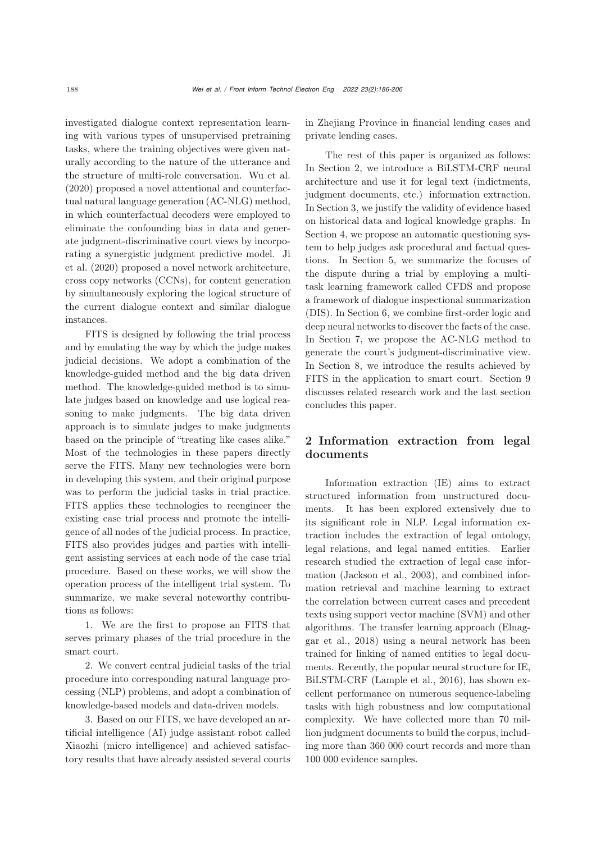investigated dialogue context representation learning with various types of unsupervised pretraining tasks, where the training objectives were given naturally according to the nature of the utterance and the structure of multi-role conversation. [Wu et al.](#page-20-4) [\(2020](#page-20-4)) proposed a novel attentional and counterfactual natural language generation (AC-NLG) method, in which counterfactual decoders were employed to eliminate the confounding bias in data and generate judgment-discriminative court views by incorporatin[g](#page-20-5) [a](#page-20-5) [synergistic](#page-20-5) [judgment](#page-20-5) [predictive](#page-20-5) [model.](#page-20-5) Ji et al. [\(2020](#page-20-5)) proposed a novel network architecture, cross copy networks (CCNs), for content generation by simultaneously exploring the logical structure of the current dialogue context and similar dialogue instances.

FITS is designed by following the trial process and by emulating the way by which the judge makes judicial decisions. We adopt a combination of the knowledge-guided method and the big data driven method. The knowledge-guided method is to simulate judges based on knowledge and use logical reasoning to make judgments. The big data driven approach is to simulate judges to make judgments based on the principle of "treating like cases alike." Most of the technologies in these papers directly serve the FITS. Many new technologies were born in developing this system, and their original purpose was to perform the judicial tasks in trial practice. FITS applies these technologies to reengineer the existing case trial process and promote the intelligence of all nodes of the judicial process. In practice, FITS also provides judges and parties with intelligent assisting services at each node of the case trial procedure. Based on these works, we will show the operation process of the intelligent trial system. To summarize, we make several noteworthy contributions as follows:

1. We are the first to propose an FITS that serves primary phases of the trial procedure in the smart court.

2. We convert central judicial tasks of the trial procedure into corresponding natural language processing (NLP) problems, and adopt a combination of knowledge-based models and data-driven models.

3. Based on our FITS, we have developed an artificial intelligence (AI) judge assistant robot called Xiaozhi (micro intelligence) and achieved satisfactory results that have already assisted several courts in Zhejiang Province in financial lending cases and private lending cases.

The rest of this paper is organized as follows: In Section 2, we introduce a BiLSTM-CRF neural architecture and use it for legal text (indictments, judgment documents, etc.) information extraction. In Section 3, we justify the validity of evidence based on historical data and logical knowledge graphs. In Section 4, we propose an automatic questioning system to help judges ask procedural and factual questions. In Section 5, we summarize the focuses of the dispute during a trial by employing a multitask learning framework called CFDS and propose a framework of dialogue inspectional summarization (DIS). In Section 6, we combine first-order logic and deep neural networks to discover the facts of the case. In Section 7, we propose the AC-NLG method to generate the court's judgment-discriminative view. In Section 8, we introduce the results achieved by FITS in the application to smart court. Section 9 discusses related research work and the last section concludes this paper.

# 2 Information extraction from legal documents

Information extraction (IE) aims to extract structured information from unstructured documents. It has been explored extensively due to its significant role in NLP. Legal information extraction includes the extraction of legal ontology, legal relations, and legal named entities. Earlier research studied the extraction of legal case information [\(Jackson et al.](#page-19-1), [2003\)](#page-19-1), and combined information retrieval and machine learning to extract the correlation between current cases and precedent texts using support vector machine (SVM) and other algorith[ms.](#page-19-2) [The](#page-19-2) [transfer](#page-19-2) [learning](#page-19-2) [approach](#page-19-2) [\(](#page-19-2)Elnaggar et al., [2018\)](#page-19-2) using a neural network has been trained for linking of named entities to legal documents. Recently, the popular neural structure for IE, BiLSTM-CRF [\(Lample et al., 2016\)](#page-20-6), has shown excellent performance on numerous sequence-labeling tasks with high robustness and low computational complexity. We have collected more than 70 million judgment documents to build the corpus, including more than 360 000 court records and more than 100 000 evidence samples.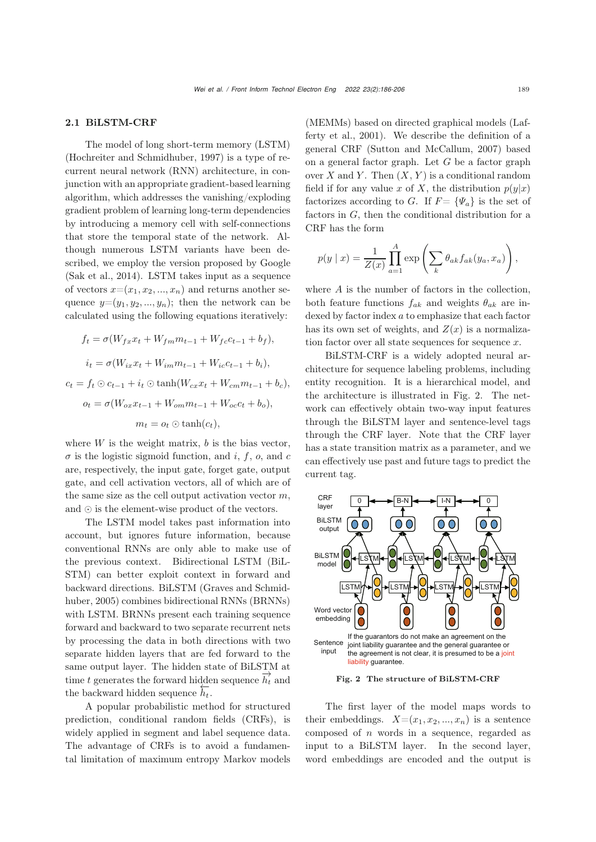#### 2.1 BiLSTM-CRF

The model of long short-term memory (LSTM) [\(Hochreiter and Schmidhuber](#page-19-3), [1997](#page-19-3)) is a type of recurrent neural network (RNN) architecture, in conjunction with an appropriate gradient-based learning algorithm, which addresses the vanishing/exploding gradient problem of learning long-term dependencies by introducing a memory cell with self-connections that store the temporal state of the network. Although numerous LSTM variants have been described, we employ the version proposed by Google [\(Sak et al.](#page-20-7), [2014\)](#page-20-7). LSTM takes input as a sequence of vectors  $x=(x_1, x_2, ..., x_n)$  and returns another sequence  $y=(y_1, y_2, ..., y_n)$ ; then the network can be calculated using the following equations iteratively:

$$
f_t = \sigma(W_{fx}x_t + W_{fm}m_{t-1} + W_{fc}c_{t-1} + b_f),
$$
  
\n
$$
i_t = \sigma(W_{ix}x_t + W_{im}m_{t-1} + W_{ic}c_{t-1} + b_i),
$$
  
\n
$$
c_t = f_t \odot c_{t-1} + i_t \odot \tanh(W_{cx}x_t + W_{cm}m_{t-1} + b_c),
$$
  
\n
$$
o_t = \sigma(W_{ox}x_{t-1} + W_{om}m_{t-1} + W_{oc}c_t + b_o),
$$
  
\n
$$
m_t = o_t \odot \tanh(c_t),
$$

where  $W$  is the weight matrix,  $b$  is the bias vector,  $\sigma$  is the logistic sigmoid function, and i, f, o, and c are, respectively, the input gate, forget gate, output gate, and cell activation vectors, all of which are of the same size as the cell output activation vector  $m$ , and  $\odot$  is the element-wise product of the vectors.

The LSTM model takes past information into account, but ignores future information, because conventional RNNs are only able to make use of the previous context. Bidirectional LSTM (BiL-STM) can better exploit context in forward and back[ward](#page-19-4) [directions.](#page-19-4) [BiLSTM](#page-19-4) [\(](#page-19-4)Graves and Schmidhuber, [2005\)](#page-19-4) combines bidirectional RNNs (BRNNs) with LSTM. BRNNs present each training sequence forward and backward to two separate recurrent nets by processing the data in both directions with two separate hidden layers that are fed forward to the same output layer. The hidden state of BiLSTM at time t generates the forward hidden sequence  $\overline{h'_t}$  and the backward hidden sequence  $\overleftarrow{h_t}$ .

A popular probabilistic method for structured prediction, conditional random fields (CRFs), is widely applied in segment and label sequence data. The advantage of CRFs is to avoid a fundamental limitation of maximum entropy Markov models (MEMMs) based on directed [graphical](#page-20-8) [models](#page-20-8) [\(](#page-20-8)Lafferty et al., [2001](#page-20-8)). We describe the definition of a general CRF [\(Sutton and McCallum, 2007](#page-20-9)) based on a general factor graph. Let  $G$  be a factor graph over X and Y. Then  $(X, Y)$  is a conditional random field if for any value x of X, the distribution  $p(y|x)$ factorizes according to G. If  $F = {\Psi_a}$  is the set of factors in G, then the conditional distribution for a CRF has the form

$$
p(y \mid x) = \frac{1}{Z(x)} \prod_{a=1}^{A} \exp \left( \sum_{k} \theta_{ak} f_{ak}(y_a, x_a) \right),
$$

where  $A$  is the number of factors in the collection, both feature functions  $f_{ak}$  and weights  $\theta_{ak}$  are indexed by factor index a to emphasize that each factor has its own set of weights, and  $Z(x)$  is a normalization factor over all state sequences for sequence  $x$ .

BiLSTM-CRF is a widely adopted neural architecture for sequence labeling problems, including entity recognition. It is a hierarchical model, and the architecture is illustrated in Fig. [2.](#page-3-0) The network can effectively obtain two-way input features through the BiLSTM layer and sentence-level tags through the CRF layer. Note that the CRF layer has a state transition matrix as a parameter, and we can effectively use past and future tags to predict the current tag.



<span id="page-3-0"></span>Fig. 2 The structure of BiLSTM-CRF

The first layer of the model maps words to their embeddings.  $X=(x_1, x_2, ..., x_n)$  is a sentence composed of n words in a sequence, regarded as input to a BiLSTM layer. In the second layer, word embeddings are encoded and the output is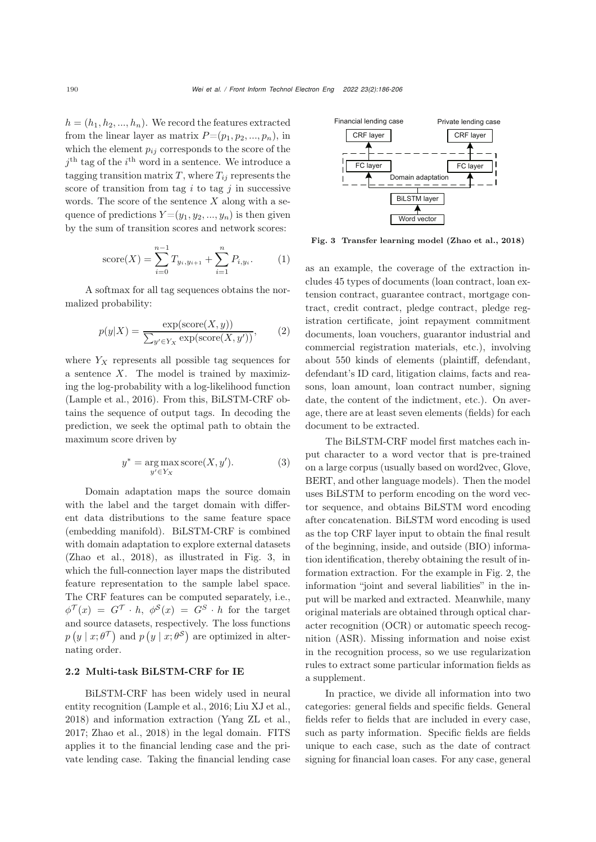$h = (h_1, h_2, ..., h_n)$ . We record the features extracted from the linear layer as matrix  $P=(p_1, p_2, ..., p_n)$ , in which the element  $p_{ij}$  corresponds to the score of the  $j<sup>th</sup>$  tag of the  $i<sup>th</sup>$  word in a sentence. We introduce a tagging transition matrix  $T$ , where  $T_{ij}$  represents the score of transition from tag  $i$  to tag  $j$  in successive words. The score of the sentence  $X$  along with a sequence of predictions  $Y=(y_1, y_2, ..., y_n)$  is then given by the sum of transition scores and network scores:

score(X) = 
$$
\sum_{i=0}^{n-1} T_{y_i, y_{i+1}} + \sum_{i=1}^{n} P_{i, y_i}.
$$
 (1)

A softmax for all tag sequences obtains the normalized probability:

$$
p(y|X) = \frac{\exp(\text{score}(X, y))}{\sum_{y' \in Y_X} \exp(\text{score}(X, y'))},\qquad(2)
$$

where  $Y_X$  represents all possible tag sequences for a sentence  $X$ . The model is trained by maximizing the log-probability with a log-likelihood function [\(Lample et al.](#page-20-6), [2016](#page-20-6)). From this, BiLSTM-CRF obtains the sequence of output tags. In decoding the prediction, we seek the optimal path to obtain the maximum score driven by

$$
y^* = \underset{y' \in Y_X}{\arg \max} \, \text{score}(X, y'). \tag{3}
$$

Domain adaptation maps the source domain with the label and the target domain with different data distributions to the same feature space (embedding manifold). BiLSTM-CRF is combined with domain adaptation to explore external datasets [\(Zhao et al., 2018\)](#page-20-0), as illustrated in Fig. [3,](#page-4-0) in which the full-connection layer maps the distributed feature representation to the sample label space. The CRF features can be computed separately, i.e.,  $\phi^{\mathcal{T}}(x) = G^{\mathcal{T}} \cdot h$ ,  $\phi^{\mathcal{S}}(x) = G^S \cdot h$  for the target and source datasets, respectively. The loss functions  $p(y | x; \theta^{\mathcal{T}})$  and  $p(y | x; \theta^{\mathcal{S}})$  are optimized in alternating order.

## 2.2 Multi-task BiLSTM-CRF for IE

BiLSTM-CRF has been widely used in neural entity recognition [\(Lample et al., 2016;](#page-20-6) [Liu XJ et al.](#page-20-1), [2018](#page-20-1)) and information extraction [\(Yang ZL et al.](#page-20-10), [2017](#page-20-10); [Zhao et al.](#page-20-0), [2018\)](#page-20-0) in the legal domain. FITS applies it to the financial lending case and the private lending case. Taking the financial lending case



<span id="page-4-0"></span>Fig. 3 Transfer learning model [\(Zhao et al.](#page-20-0), [2018\)](#page-20-0)

as an example, the coverage of the extraction includes 45 types of documents (loan contract, loan extension contract, guarantee contract, mortgage contract, credit contract, pledge contract, pledge registration certificate, joint repayment commitment documents, loan vouchers, guarantor industrial and commercial registration materials, etc.), involving about 550 kinds of elements (plaintiff, defendant, defendant's ID card, litigation claims, facts and reasons, loan amount, loan contract number, signing date, the content of the indictment, etc.). On average, there are at least seven elements (fields) for each document to be extracted.

The BiLSTM-CRF model first matches each input character to a word vector that is pre-trained on a large corpus (usually based on word2vec, Glove, BERT, and other language models). Then the model uses BiLSTM to perform encoding on the word vector sequence, and obtains BiLSTM word encoding after concatenation. BiLSTM word encoding is used as the top CRF layer input to obtain the final result of the beginning, inside, and outside (BIO) information identification, thereby obtaining the result of information extraction. For the example in Fig. [2,](#page-3-0) the information "joint and several liabilities" in the input will be marked and extracted. Meanwhile, many original materials are obtained through optical character recognition (OCR) or automatic speech recognition (ASR). Missing information and noise exist in the recognition process, so we use regularization rules to extract some particular information fields as a supplement.

In practice, we divide all information into two categories: general fields and specific fields. General fields refer to fields that are included in every case, such as party information. Specific fields are fields unique to each case, such as the date of contract signing for financial loan cases. For any case, general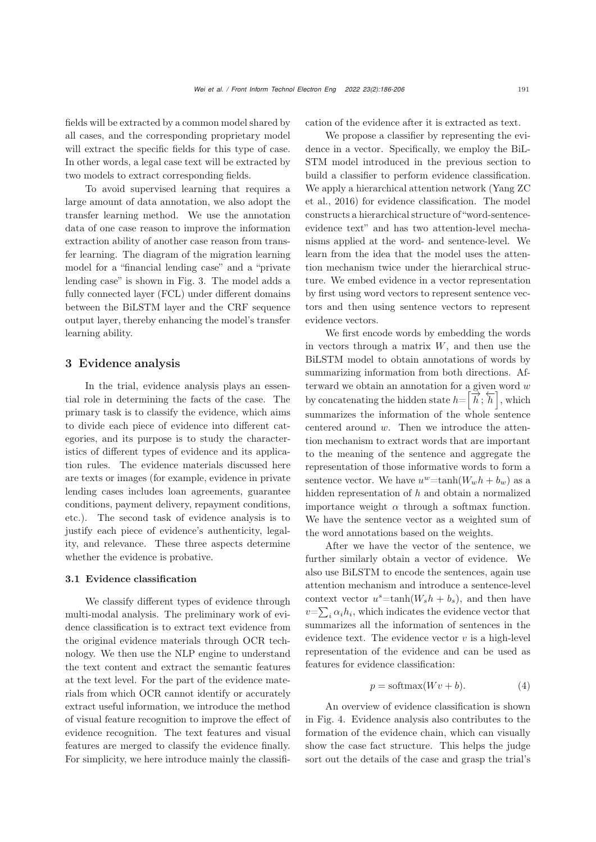fields will be extracted by a common model shared by all cases, and the corresponding proprietary model will extract the specific fields for this type of case. In other words, a legal case text will be extracted by two models to extract corresponding fields.

To avoid supervised learning that requires a large amount of data annotation, we also adopt the transfer learning method. We use the annotation data of one case reason to improve the information extraction ability of another case reason from transfer learning. The diagram of the migration learning model for a "financial lending case" and a "private lending case" is shown in Fig. [3.](#page-4-0) The model adds a fully connected layer (FCL) under different domains between the BiLSTM layer and the CRF sequence output layer, thereby enhancing the model's transfer learning ability.

## 3 Evidence analysis

In the trial, evidence analysis plays an essential role in determining the facts of the case. The primary task is to classify the evidence, which aims to divide each piece of evidence into different categories, and its purpose is to study the characteristics of different types of evidence and its application rules. The evidence materials discussed here are texts or images (for example, evidence in private lending cases includes loan agreements, guarantee conditions, payment delivery, repayment conditions, etc.). The second task of evidence analysis is to justify each piece of evidence's authenticity, legality, and relevance. These three aspects determine whether the evidence is probative.

#### 3.1 Evidence classification

We classify different types of evidence through multi-modal analysis. The preliminary work of evidence classification is to extract text evidence from the original evidence materials through OCR technology. We then use the NLP engine to understand the text content and extract the semantic features at the text level. For the part of the evidence materials from which OCR cannot identify or accurately extract useful information, we introduce the method of visual feature recognition to improve the effect of evidence recognition. The text features and visual features are merged to classify the evidence finally. For simplicity, we here introduce mainly the classification of the evidence after it is extracted as text.

We propose a classifier by representing the evidence in a vector. Specifically, we employ the BiL-STM model introduced in the previous section to build a classifier to perform evidence classification. We a[pply](#page-20-11) [a](#page-20-11) [hierarchical](#page-20-11) [attention](#page-20-11) [network](#page-20-11) [\(](#page-20-11)Yang ZC et al., [2016\)](#page-20-11) for evidence classification. The model constructs a hierarchical structure of "word-sentenceevidence text" and has two attention-level mechanisms applied at the word- and sentence-level. We learn from the idea that the model uses the attention mechanism twice under the hierarchical structure. We embed evidence in a vector representation by first using word vectors to represent sentence vectors and then using sentence vectors to represent evidence vectors.

We first encode words by embedding the words in vectors through a matrix  $W$ , and then use the BiLSTM model to obtain annotations of words by summarizing information from both directions. Afterward we obtain an annotation for a given word w by concatenating the hidden state  $h = [\overrightarrow{h}; \overleftarrow{h}]$ , which summarizes the information of the whole sentence centered around w. Then we introduce the attention mechanism to extract words that are important to the meaning of the sentence and aggregate the representation of those informative words to form a sentence vector. We have  $u^w = \tanh(W_w h + b_w)$  as a hidden representation of h and obtain a normalized importance weight  $\alpha$  through a softmax function. We have the sentence vector as a weighted sum of the word annotations based on the weights.

After we have the vector of the sentence, we further similarly obtain a vector of evidence. We also use BiLSTM to encode the sentences, again use attention mechanism and introduce a sentence-level context vector  $u^s = \tanh(W_s h + b_s)$ , and then have  $v = \sum_i \alpha_i h_i$ , which indicates the evidence vector that summarizes all the information of sentences in the evidence text. The evidence vector  $v$  is a high-level representation of the evidence and can be used as features for evidence classification:

$$
p = \text{softmax}(Wv + b). \tag{4}
$$

An overview of evidence classification is shown in Fig. [4.](#page-6-0) Evidence analysis also contributes to the formation of the evidence chain, which can visually show the case fact structure. This helps the judge sort out the details of the case and grasp the trial's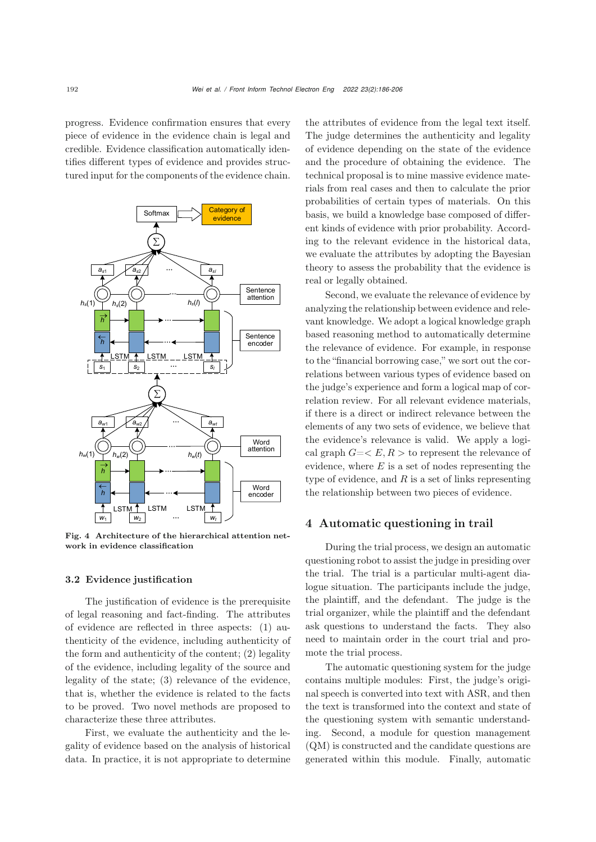progress. Evidence confirmation ensures that every piece of evidence in the evidence chain is legal and credible. Evidence classification automatically identifies different types of evidence and provides structured input for the components of the evidence chain.



<span id="page-6-0"></span>Fig. 4 Architecture of the hierarchical attention network in evidence classification

## 3.2 Evidence justification

The justification of evidence is the prerequisite of legal reasoning and fact-finding. The attributes of evidence are reflected in three aspects: (1) authenticity of the evidence, including authenticity of the form and authenticity of the content; (2) legality of the evidence, including legality of the source and legality of the state; (3) relevance of the evidence, that is, whether the evidence is related to the facts to be proved. Two novel methods are proposed to characterize these three attributes.

First, we evaluate the authenticity and the legality of evidence based on the analysis of historical data. In practice, it is not appropriate to determine the attributes of evidence from the legal text itself. The judge determines the authenticity and legality of evidence depending on the state of the evidence and the procedure of obtaining the evidence. The technical proposal is to mine massive evidence materials from real cases and then to calculate the prior probabilities of certain types of materials. On this basis, we build a knowledge base composed of different kinds of evidence with prior probability. According to the relevant evidence in the historical data, we evaluate the attributes by adopting the Bayesian theory to assess the probability that the evidence is real or legally obtained.

Second, we evaluate the relevance of evidence by analyzing the relationship between evidence and relevant knowledge. We adopt a logical knowledge graph based reasoning method to automatically determine the relevance of evidence. For example, in response to the "financial borrowing case," we sort out the correlations between various types of evidence based on the judge's experience and form a logical map of correlation review. For all relevant evidence materials, if there is a direct or indirect relevance between the elements of any two sets of evidence, we believe that the evidence's relevance is valid. We apply a logical graph  $G = \langle E, R \rangle$  to represent the relevance of evidence, where  $E$  is a set of nodes representing the type of evidence, and  $R$  is a set of links representing the relationship between two pieces of evidence.

## 4 Automatic questioning in trail

During the trial process, we design an automatic questioning robot to assist the judge in presiding over the trial. The trial is a particular multi-agent dialogue situation. The participants include the judge, the plaintiff, and the defendant. The judge is the trial organizer, while the plaintiff and the defendant ask questions to understand the facts. They also need to maintain order in the court trial and promote the trial process.

The automatic questioning system for the judge contains multiple modules: First, the judge's original speech is converted into text with ASR, and then the text is transformed into the context and state of the questioning system with semantic understanding. Second, a module for question management (QM) is constructed and the candidate questions are generated within this module. Finally, automatic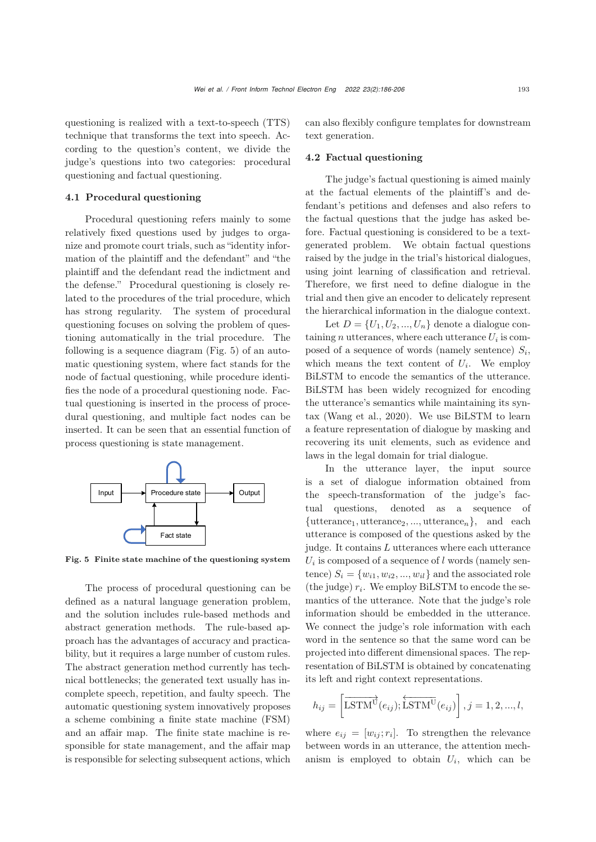questioning is realized with a text-to-speech (TTS) technique that transforms the text into speech. According to the question's content, we divide the judge's questions into two categories: procedural questioning and factual questioning.

## 4.1 Procedural questioning

Procedural questioning refers mainly to some relatively fixed questions used by judges to organize and promote court trials, such as "identity information of the plaintiff and the defendant" and "the plaintiff and the defendant read the indictment and the defense." Procedural questioning is closely related to the procedures of the trial procedure, which has strong regularity. The system of procedural questioning focuses on solving the problem of questioning automatically in the trial procedure. The following is a sequence diagram (Fig. [5\)](#page-7-0) of an automatic questioning system, where fact stands for the node of factual questioning, while procedure identifies the node of a procedural questioning node. Factual questioning is inserted in the process of procedural questioning, and multiple fact nodes can be inserted. It can be seen that an essential function of process questioning is state management.



<span id="page-7-0"></span>Fig. 5 Finite state machine of the questioning system

The process of procedural questioning can be defined as a natural language generation problem, and the solution includes rule-based methods and abstract generation methods. The rule-based approach has the advantages of accuracy and practicability, but it requires a large number of custom rules. The abstract generation method currently has technical bottlenecks; the generated text usually has incomplete speech, repetition, and faulty speech. The automatic questioning system innovatively proposes a scheme combining a finite state machine (FSM) and an affair map. The finite state machine is responsible for state management, and the affair map is responsible for selecting subsequent actions, which

can also flexibly configure templates for downstream text generation.

## 4.2 Factual questioning

The judge's factual questioning is aimed mainly at the factual elements of the plaintiff's and defendant's petitions and defenses and also refers to the factual questions that the judge has asked before. Factual questioning is considered to be a textgenerated problem. We obtain factual questions raised by the judge in the trial's historical dialogues, using joint learning of classification and retrieval. Therefore, we first need to define dialogue in the trial and then give an encoder to delicately represent the hierarchical information in the dialogue context.

Let  $D = \{U_1, U_2, ..., U_n\}$  denote a dialogue containing *n* utterances, where each utterance  $U_i$  is composed of a sequence of words (namely sentence)  $S_i$ , which means the text content of  $U_i$ . We employ BiLSTM to encode the semantics of the utterance. BiLSTM has been widely recognized for encoding the utterance's semantics while maintaining its syntax [\(Wang et al.](#page-20-3), [2020](#page-20-3)). We use BiLSTM to learn a feature representation of dialogue by masking and recovering its unit elements, such as evidence and laws in the legal domain for trial dialogue.

In the utterance layer, the input source is a set of dialogue information obtained from the speech-transformation of the judge's factual questions, denoted as a sequence of  $\{\text{utterance}_1, \text{utterance}_2, ..., \text{utterance}_n\}, \text{ and each}$ utterance is composed of the questions asked by the judge. It contains L utterances where each utterance  $U_i$  is composed of a sequence of l words (namely sentence)  $S_i = \{w_{i1}, w_{i2}, ..., w_{il}\}\$ and the associated role (the judge)  $r_i$ . We employ BiLSTM to encode the semantics of the utterance. Note that the judge's role information should be embedded in the utterance. We connect the judge's role information with each word in the sentence so that the same word can be projected into different dimensional spaces. The representation of BiLSTM is obtained by concatenating its left and right context representations.

$$
h_{ij} = \left[ \overrightarrow{\text{LSTM}}^{\vec{\text{U}}} (e_{ij}); \overleftarrow{\text{LSTM}}^{\vec{\text{U}}} (e_{ij}) \right], j = 1, 2, ..., l,
$$

where  $e_{ij} = [w_{ij}; r_i]$ . To strengthen the relevance between words in an utterance, the attention mechanism is employed to obtain  $U_i$ , which can be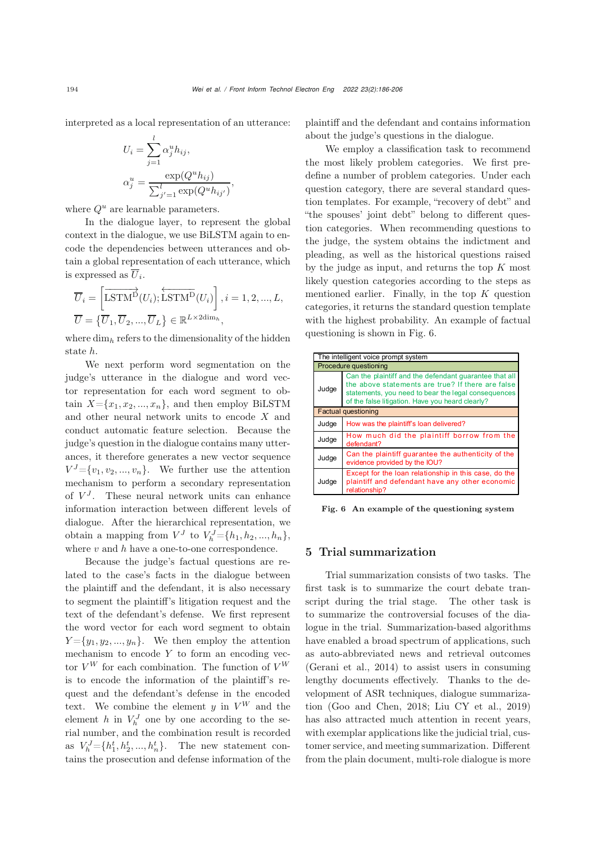interpreted as a local representation of an utterance:

$$
U_i = \sum_{j=1}^{l} \alpha_j^u h_{ij},
$$
  

$$
\alpha_j^u = \frac{\exp(Q^u h_{ij})}{\sum_{j'=1}^{l} \exp(Q^u h_{ij'})},
$$

where  $Q^u$  are learnable parameters.

In the dialogue layer, to represent the global context in the dialogue, we use BiLSTM again to encode the dependencies between utterances and obtain a global representation of each utterance, which is expressed as  $\overline{U}_i$ .

$$
\overline{U}_{i} = \left[ \overline{\text{LSTM}}^{\overrightarrow{\text{D}}}(U_{i}); \overleftarrow{\text{LSTM}}^{\overrightarrow{\text{D}}}(U_{i}) \right], i = 1, 2, ..., L,
$$
  

$$
\overline{U} = \left\{ \overline{U}_{1}, \overline{U}_{2}, ..., \overline{U}_{L} \right\} \in \mathbb{R}^{L \times 2 \text{dim}_{h}},
$$

where dim*<sup>h</sup>* refers to the dimensionality of the hidden state h.

We next perform word segmentation on the judge's utterance in the dialogue and word vector representation for each word segment to obtain  $X = \{x_1, x_2, ..., x_n\}$ , and then employ BiLSTM and other neural network units to encode X and conduct automatic feature selection. Because the judge's question in the dialogue contains many utterances, it therefore generates a new vector sequence  $V^{J} = \{v_1, v_2, ..., v_n\}$ . We further use the attention mechanism to perform a secondary representation of  $V<sup>J</sup>$ . These neural network units can enhance information interaction between different levels of dialogue. After the hierarchical representation, we obtain a mapping from  $V^J$  to  $V^J_h = \{h_1, h_2, ..., h_n\},\$ where  $v$  and  $h$  have a one-to-one correspondence.

Because the judge's factual questions are related to the case's facts in the dialogue between the plaintiff and the defendant, it is also necessary to segment the plaintiff's litigation request and the text of the defendant's defense. We first represent the word vector for each word segment to obtain  $Y = \{y_1, y_2, ..., y_n\}.$  We then employ the attention mechanism to encode  $Y$  to form an encoding vector  $V^W$  for each combination. The function of  $V^W$ is to encode the information of the plaintiff's request and the defendant's defense in the encoded text. We combine the element  $y$  in  $V^W$  and the element h in  $V_h^J$  one by one according to the serial number, and the combination result is recorded as  $V_h^J = \{h_1^t, h_2^t, ..., h_n^t\}$ . The new statement contains the prosecution and defense information of the

plaintiff and the defendant and contains information about the judge's questions in the dialogue.

We employ a classification task to recommend the most likely problem categories. We first predefine a number of problem categories. Under each question category, there are several standard question templates. For example, "recovery of debt" and "the spouses' joint debt" belong to different question categories. When recommending questions to the judge, the system obtains the indictment and pleading, as well as the historical questions raised by the judge as input, and returns the top  $K$  most likely question categories according to the steps as mentioned earlier. Finally, in the top  $K$  question categories, it returns the standard question template with the highest probability. An example of factual questioning is shown in Fig. [6.](#page-8-0)

| The intelligent voice prompt system |                                                                                                                                                                                                                        |  |  |  |  |  |  |
|-------------------------------------|------------------------------------------------------------------------------------------------------------------------------------------------------------------------------------------------------------------------|--|--|--|--|--|--|
| Procedure questioning               |                                                                                                                                                                                                                        |  |  |  |  |  |  |
| Judge                               | Can the plaintiff and the defendant quarantee that all<br>the above statements are true? If there are false<br>statements, you need to bear the legal consequences<br>of the false litigation. Have you heard clearly? |  |  |  |  |  |  |
|                                     | <b>Factual questioning</b>                                                                                                                                                                                             |  |  |  |  |  |  |
| Judge                               | How was the plaintiff's loan delivered?                                                                                                                                                                                |  |  |  |  |  |  |
| Judge                               | How much did the plaintiff borrow from the<br>defendant?                                                                                                                                                               |  |  |  |  |  |  |
| Judge                               | Can the plaintiff guarantee the authenticity of the<br>evidence provided by the IOU?                                                                                                                                   |  |  |  |  |  |  |
| Judge                               | Except for the loan relationship in this case, do the<br>plaintiff and defendant have any other economic<br>relationship?                                                                                              |  |  |  |  |  |  |

<span id="page-8-0"></span>Fig. 6 An example of the questioning system

## 5 Trial summarization

Trial summarization consists of two tasks. The first task is to summarize the court debate transcript during the trial stage. The other task is to summarize the controversial focuses of the dialogue in the trial. Summarization-based algorithms have enabled a broad spectrum of applications, such as auto-abbreviated news and retrieval outcomes [\(Gerani et al., 2014](#page-19-5)) to assist users in consuming lengthy documents effectively. Thanks to the development of ASR techniques, dialogue summarization [\(Goo and Chen, 2018;](#page-19-6) [Liu CY et al.](#page-20-12), [2019](#page-20-12)) has also attracted much attention in recent years, with exemplar applications like the judicial trial, customer service, and meeting summarization. Different from the plain document, multi-role dialogue is more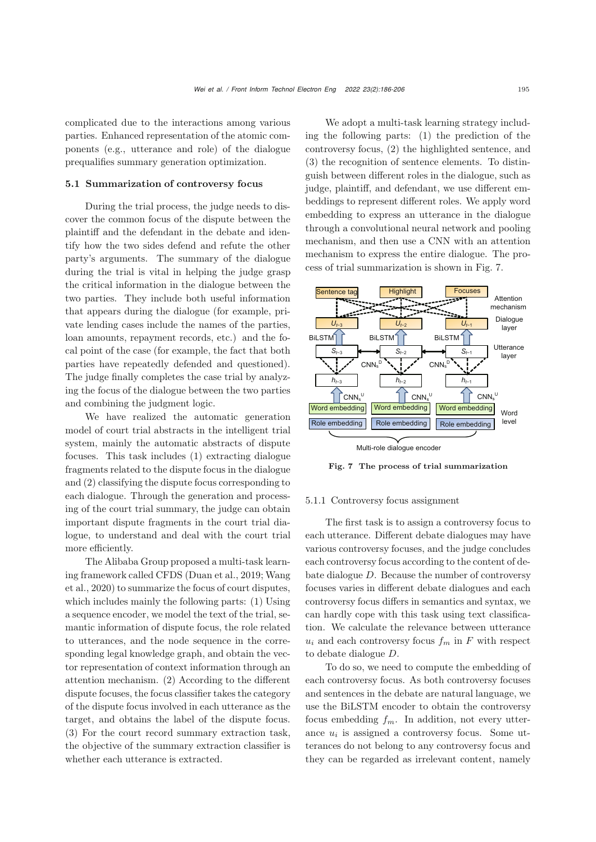complicated due to the interactions among various parties. Enhanced representation of the atomic components (e.g., utterance and role) of the dialogue prequalifies summary generation optimization.

#### 5.1 Summarization of controversy focus

During the trial process, the judge needs to discover the common focus of the dispute between the plaintiff and the defendant in the debate and identify how the two sides defend and refute the other party's arguments. The summary of the dialogue during the trial is vital in helping the judge grasp the critical information in the dialogue between the two parties. They include both useful information that appears during the dialogue (for example, private lending cases include the names of the parties, loan amounts, repayment records, etc.) and the focal point of the case (for example, the fact that both parties have repeatedly defended and questioned). The judge finally completes the case trial by analyzing the focus of the dialogue between the two parties and combining the judgment logic.

We have realized the automatic generation model of court trial abstracts in the intelligent trial system, mainly the automatic abstracts of dispute focuses. This task includes (1) extracting dialogue fragments related to the dispute focus in the dialogue and (2) classifying the dispute focus corresponding to each dialogue. Through the generation and processing of the court trial summary, the judge can obtain important dispute fragments in the court trial dialogue, to understand and deal with the court trial more efficiently.

The Alibaba Group proposed a multi-task learning f[ramework](#page-20-3) [called](#page-20-3) [CFDS](#page-20-3) [\(Duan et al.](#page-19-0)[,](#page-20-3) [2019;](#page-19-0) Wang et al., [2020](#page-20-3)) to summarize the focus of court disputes, which includes mainly the following parts: (1) Using a sequence encoder, we model the text of the trial, semantic information of dispute focus, the role related to utterances, and the node sequence in the corresponding legal knowledge graph, and obtain the vector representation of context information through an attention mechanism. (2) According to the different dispute focuses, the focus classifier takes the category of the dispute focus involved in each utterance as the target, and obtains the label of the dispute focus. (3) For the court record summary extraction task, the objective of the summary extraction classifier is whether each utterance is extracted.

We adopt a multi-task learning strategy including the following parts: (1) the prediction of the controversy focus, (2) the highlighted sentence, and (3) the recognition of sentence elements. To distinguish between different roles in the dialogue, such as judge, plaintiff, and defendant, we use different embeddings to represent different roles. We apply word embedding to express an utterance in the dialogue through a convolutional neural network and pooling mechanism, and then use a CNN with an attention mechanism to express the entire dialogue. The process of trial summarization is shown in Fig. [7.](#page-9-0)



<span id="page-9-0"></span>Fig. 7 The process of trial summarization

#### 5.1.1 Controversy focus assignment

The first task is to assign a controversy focus to each utterance. Different debate dialogues may have various controversy focuses, and the judge concludes each controversy focus according to the content of debate dialogue D. Because the number of controversy focuses varies in different debate dialogues and each controversy focus differs in semantics and syntax, we can hardly cope with this task using text classification. We calculate the relevance between utterance  $u_i$  and each controversy focus  $f_m$  in F with respect to debate dialogue D.

To do so, we need to compute the embedding of each controversy focus. As both controversy focuses and sentences in the debate are natural language, we use the BiLSTM encoder to obtain the controversy focus embedding  $f_m$ . In addition, not every utterance u*<sup>i</sup>* is assigned a controversy focus. Some utterances do not belong to any controversy focus and they can be regarded as irrelevant content, namely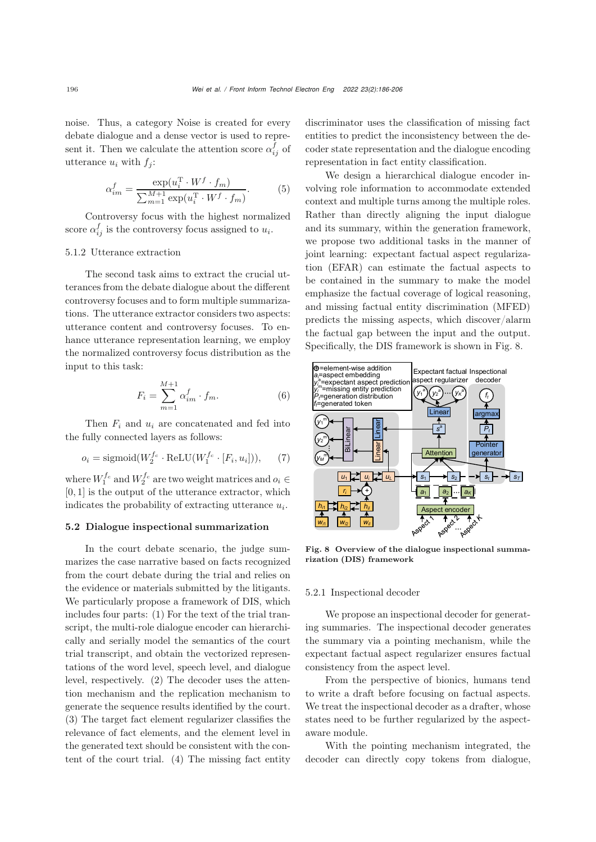noise. Thus, a category Noise is created for every debate dialogue and a dense vector is used to represent it. Then we calculate the attention score  $\alpha_{ij}^f$  of utterance  $u_i$  with  $f_j$ :

$$
\alpha_{im}^f = \frac{\exp(u_i^{\mathrm{T}} \cdot W^f \cdot f_m)}{\sum_{m=1}^{M+1} \exp(u_i^{\mathrm{T}} \cdot W^f \cdot f_m)}.
$$
 (5)

Controversy focus with the highest normalized score  $\alpha_{ij}^f$  is the controversy focus assigned to  $u_i$ .

## 5.1.2 Utterance extraction

The second task aims to extract the crucial utterances from the debate dialogue about the different controversy focuses and to form multiple summarizations. The utterance extractor considers two aspects: utterance content and controversy focuses. To enhance utterance representation learning, we employ the normalized controversy focus distribution as the input to this task:

$$
F_i = \sum_{m=1}^{M+1} \alpha_{im}^f \cdot f_m.
$$
 (6)

Then F*<sup>i</sup>* and u*<sup>i</sup>* are concatenated and fed into the fully connected layers as follows:

$$
o_i = \text{sigmoid}(W_2^{f_c} \cdot \text{ReLU}(W_1^{f_c} \cdot [F_i, u_i])),\tag{7}
$$

where  $W_1^{f_c}$  and  $W_2^{f_c}$  are two weight matrices and  $o_i \in$  $[0, 1]$  is the output of the utterance extractor, which indicates the probability of extracting utterance u*i*.

## 5.2 Dialogue inspectional summarization

In the court debate scenario, the judge summarizes the case narrative based on facts recognized from the court debate during the trial and relies on the evidence or materials submitted by the litigants. We particularly propose a framework of DIS, which includes four parts: (1) For the text of the trial transcript, the multi-role dialogue encoder can hierarchically and serially model the semantics of the court trial transcript, and obtain the vectorized representations of the word level, speech level, and dialogue level, respectively. (2) The decoder uses the attention mechanism and the replication mechanism to generate the sequence results identified by the court. (3) The target fact element regularizer classifies the relevance of fact elements, and the element level in the generated text should be consistent with the content of the court trial. (4) The missing fact entity

discriminator uses the classification of missing fact entities to predict the inconsistency between the decoder state representation and the dialogue encoding representation in fact entity classification.

We design a hierarchical dialogue encoder involving role information to accommodate extended context and multiple turns among the multiple roles. Rather than directly aligning the input dialogue and its summary, within the generation framework, we propose two additional tasks in the manner of joint learning: expectant factual aspect regularization (EFAR) can estimate the factual aspects to be contained in the summary to make the model emphasize the factual coverage of logical reasoning, and missing factual entity discrimination (MFED) predicts the missing aspects, which discover/alarm the factual gap between the input and the output. Specifically, the DIS framework is shown in Fig. [8.](#page-10-0)



<span id="page-10-0"></span>Fig. 8 Overview of the dialogue inspectional summarization (DIS) framework

#### 5.2.1 Inspectional decoder

We propose an inspectional decoder for generating summaries. The inspectional decoder generates the summary via a pointing mechanism, while the expectant factual aspect regularizer ensures factual consistency from the aspect level.

From the perspective of bionics, humans tend to write a draft before focusing on factual aspects. We treat the inspectional decoder as a drafter, whose states need to be further regularized by the aspectaware module.

With the pointing mechanism integrated, the decoder can directly copy tokens from dialogue,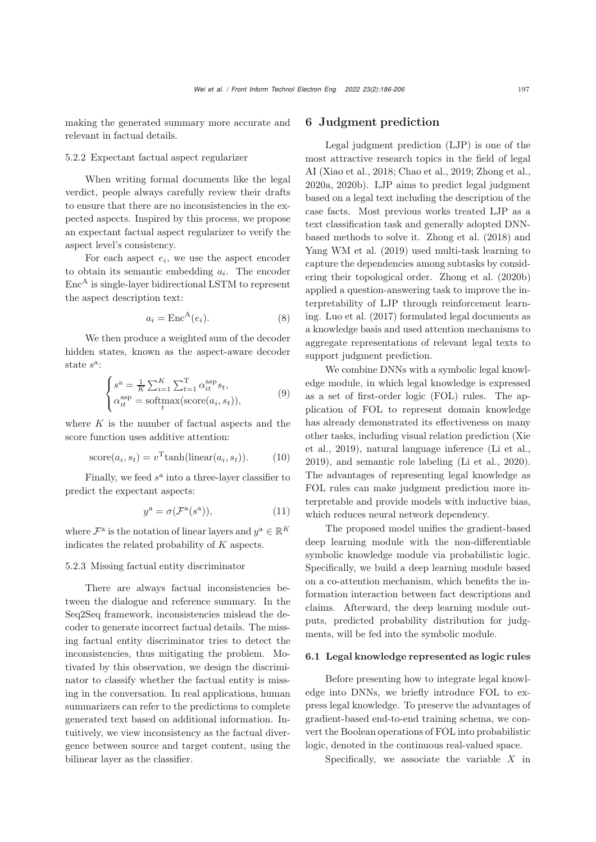making the generated summary more accurate and relevant in factual details.

## 5.2.2 Expectant factual aspect regularizer

When writing formal documents like the legal verdict, people always carefully review their drafts to ensure that there are no inconsistencies in the expected aspects. Inspired by this process, we propose an expectant factual aspect regularizer to verify the aspect level's consistency.

For each aspect e*i*, we use the aspect encoder to obtain its semantic embedding a*i*. The encoder  $Enc<sup>A</sup>$  is single-layer bidirectional LSTM to represent the aspect description text:

$$
a_i = \text{Enc}^{\mathcal{A}}(e_i). \tag{8}
$$

We then produce a weighted sum of the decoder hidden states, known as the aspect-aware decoder state  $s^a$ :

$$
\begin{cases}\ns^{\mathbf{a}} = \frac{1}{K} \sum_{i=1}^{K} \sum_{t=1}^{T} \alpha_{it}^{\text{asp}} s_t, \\
\alpha_{it}^{\text{asp}} = \text{softmax}(\text{score}(a_i, s_t)),\n\end{cases} \tag{9}
$$

where  $K$  is the number of factual aspects and the score function uses additive attention:

score
$$
(a_i, s_t)
$$
 =  $v^{\text{T}} \tanh(\text{linear}(a_i, s_t))$ . (10)

Finally, we feed  $s^a$  into a three-layer classifier to predict the expectant aspects:

$$
y^{\mathbf{a}} = \sigma(\mathcal{F}^{\mathbf{a}}(s^{\mathbf{a}})),\tag{11}
$$

where  $\mathcal{F}^{\mathbf{a}}$  is the notation of linear layers and  $y^{\mathbf{a}} \in \mathbb{R}^{K}$ indicates the related probability of K aspects.

5.2.3 Missing factual entity discriminator

There are always factual inconsistencies between the dialogue and reference summary. In the Seq2Seq framework, inconsistencies mislead the decoder to generate incorrect factual details. The missing factual entity discriminator tries to detect the inconsistencies, thus mitigating the problem. Motivated by this observation, we design the discriminator to classify whether the factual entity is missing in the conversation. In real applications, human summarizers can refer to the predictions to complete generated text based on additional information. Intuitively, we view inconsistency as the factual divergence between source and target content, using the bilinear layer as the classifier.

# 6 Judgment prediction

Legal judgment prediction (LJP) is one of the most attractive research topics in the field of legal AI (Xiao et al., 2018; Chao et al., 2019; Zhong et al., 2020a, 2020b). LJP aims to predict legal judgment based on a legal text including the description of the case facts. Most previous works treated LJP as a text classification task and generally adopted DNNbased methods to solve it. [Zhong et al.](#page-20-13) [\(2018\)](#page-20-13) and [Yang WM et al.](#page-20-14) [\(2019](#page-20-14)) used multi-task learning to capture the dependencies among subtasks by considering their topological order. [Zhong et al.](#page-20-15) [\(2020b](#page-20-15)) applied a question-answering task to improve the interpretability of LJP through reinforcement learning. [Luo et al.](#page-20-16) [\(2017\)](#page-20-16) formulated legal documents as a knowledge basis and used attention mechanisms to aggregate representations of relevant legal texts to support judgment prediction.

We combine DNNs with a symbolic legal knowledge module, in which legal knowledge is expressed as a set of first-order logic (FOL) rules. The application of FOL to represent domain knowledge has already demonstrated its effectiveness on many other [tasks,](#page-20-17) [including](#page-20-17) [visual](#page-20-17) [relation](#page-20-17) [prediction](#page-20-17) [\(](#page-20-17)Xie et al., [2019](#page-20-17)), natural language inference [\(Li et al.](#page-20-18), [2019](#page-20-18)), and semantic role labeling [\(Li et al., 2020\)](#page-20-19). The advantages of representing legal knowledge as FOL rules can make judgment prediction more interpretable and provide models with inductive bias, which reduces neural network dependency.

The proposed model unifies the gradient-based deep learning module with the non-differentiable symbolic knowledge module via probabilistic logic. Specifically, we build a deep learning module based on a co-attention mechanism, which benefits the information interaction between fact descriptions and claims. Afterward, the deep learning module outputs, predicted probability distribution for judgments, will be fed into the symbolic module.

## 6.1 Legal knowledge represented as logic rules

Before presenting how to integrate legal knowledge into DNNs, we briefly introduce FOL to express legal knowledge. To preserve the advantages of gradient-based end-to-end training schema, we convert the Boolean operations of FOL into probabilistic logic, denoted in the continuous real-valued space.

Specifically, we associate the variable  $X$  in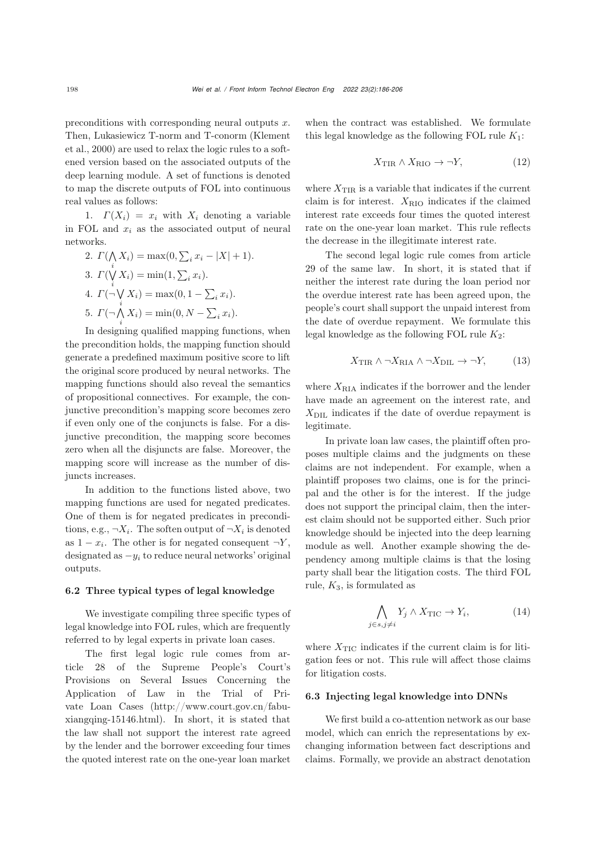preconditions with corresponding neural outputs  $x$ . The[n,](#page-20-20) [Lukasiewicz](#page-20-20) [T-norm](#page-20-20) [and](#page-20-20) [T-conorm](#page-20-20) [\(](#page-20-20)Klement et al., [2000\)](#page-20-20) are used to relax the logic rules to a softened version based on the associated outputs of the deep learning module. A set of functions is denoted to map the discrete outputs of FOL into continuous real values as follows:

1.  $\Gamma(X_i) = x_i$  with  $X_i$  denoting a variable in FOL and  $x_i$  as the associated output of neural networks.

2. 
$$
\Gamma(\bigwedge_i X_i) = \max(0, \sum_i x_i - |X| + 1).
$$
  
\n3. 
$$
\Gamma(\bigvee_i X_i) = \min(1, \sum_i x_i).
$$
  
\n4. 
$$
\Gamma(\neg \bigvee_i X_i) = \max(0, 1 - \sum_i x_i).
$$
  
\n5. 
$$
\Gamma(\neg \bigwedge_i X_i) = \min(0, N - \sum_i x_i).
$$

In designing qualified mapping functions, when the precondition holds, the mapping function should generate a predefined maximum positive score to lift the original score produced by neural networks. The mapping functions should also reveal the semantics of propositional connectives. For example, the conjunctive precondition's mapping score becomes zero if even only one of the conjuncts is false. For a disjunctive precondition, the mapping score becomes zero when all the disjuncts are false. Moreover, the mapping score will increase as the number of disjuncts increases.

In addition to the functions listed above, two mapping functions are used for negated predicates. One of them is for negated predicates in preconditions, e.g.,  $\neg X_i$ . The soften output of  $\neg X_i$  is denoted as  $1 - x_i$ . The other is for negated consequent  $\neg Y$ , designated as  $-y_i$  to reduce neural networks' original outputs.

#### 6.2 Three typical types of legal knowledge

We investigate compiling three specific types of legal knowledge into FOL rules, which are frequently referred to by legal experts in private loan cases.

The first legal logic rule comes from article 28 of the Supreme People's Court's Provisions on Several Issues Concerning the Application of Law in the Trial of Private Loan Cases (http://www.court.gov.cn/fabuxiangqing-15146.html). In short, it is stated that the law shall not support the interest rate agreed by the lender and the borrower exceeding four times the quoted interest rate on the one-year loan market

when the contract was established. We formulate this legal knowledge as the following FOL rule  $K_1$ :

$$
X_{\text{TIR}} \wedge X_{\text{RIO}} \to \neg Y,\tag{12}
$$

where  $X_{\text{TIR}}$  is a variable that indicates if the current claim is for interest.  $X_{\text{RIO}}$  indicates if the claimed interest rate exceeds four times the quoted interest rate on the one-year loan market. This rule reflects the decrease in the illegitimate interest rate.

The second legal logic rule comes from article 29 of the same law. In short, it is stated that if neither the interest rate during the loan period nor the overdue interest rate has been agreed upon, the people's court shall support the unpaid interest from the date of overdue repayment. We formulate this legal knowledge as the following FOL rule  $K_2$ :

$$
X_{\text{TIR}} \wedge \neg X_{\text{RIA}} \wedge \neg X_{\text{DIL}} \rightarrow \neg Y, \tag{13}
$$

where  $X_{\text{RIA}}$  indicates if the borrower and the lender have made an agreement on the interest rate, and  $X<sub>DIL</sub>$  indicates if the date of overdue repayment is legitimate.

In private loan law cases, the plaintiff often proposes multiple claims and the judgments on these claims are not independent. For example, when a plaintiff proposes two claims, one is for the principal and the other is for the interest. If the judge does not support the principal claim, then the interest claim should not be supported either. Such prior knowledge should be injected into the deep learning module as well. Another example showing the dependency among multiple claims is that the losing party shall bear the litigation costs. The third FOL rule,  $K_3$ , is formulated as

$$
\bigwedge_{j\in s,j\neq i} Y_j \wedge X_{\text{TIC}} \to Y_i,\tag{14}
$$

where  $X_{\text{TIC}}$  indicates if the current claim is for litigation fees or not. This rule will affect those claims for litigation costs.

#### 6.3 Injecting legal knowledge into DNNs

We first build a co-attention network as our base model, which can enrich the representations by exchanging information between fact descriptions and claims. Formally, we provide an abstract denotation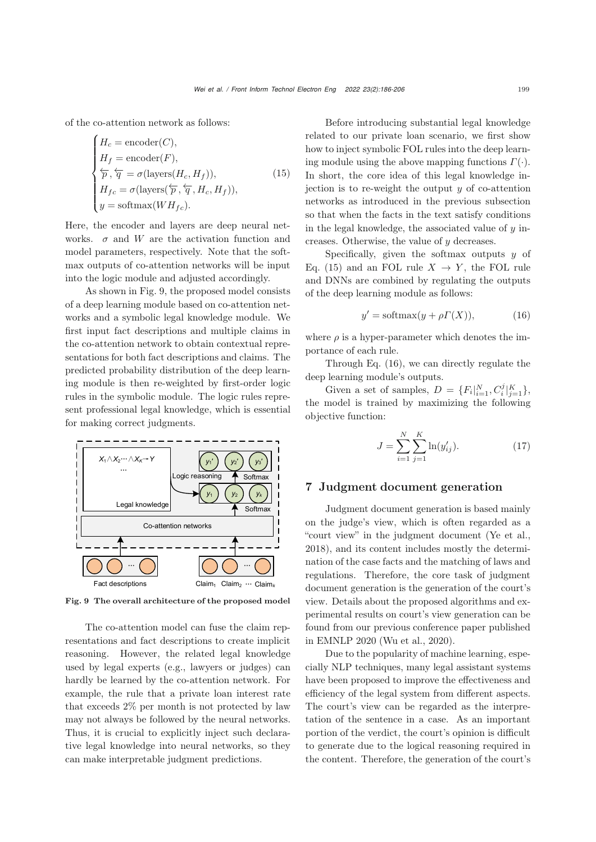of the co-attention network as follows:

<span id="page-13-1"></span>
$$
\begin{cases}\nH_c = \text{encoder}(C), \\
H_f = \text{encoder}(F), \\
\frac{\leftarrow}{p}, \frac{\leftarrow}{q} = \sigma(\text{layers}(H_c, H_f)), \\
H_{fc} = \sigma(\text{layers}(\frac{\leftarrow}{p}, \frac{\leftarrow}{q}, H_c, H_f)), \\
y = \text{softmax}(WH_{fc}).\n\end{cases} \tag{15}
$$

Here, the encoder and layers are deep neural networks.  $\sigma$  and W are the activation function and model parameters, respectively. Note that the softmax outputs of co-attention networks will be input into the logic module and adjusted accordingly.

As shown in Fig. [9,](#page-13-0) the proposed model consists of a deep learning module based on co-attention networks and a symbolic legal knowledge module. We first input fact descriptions and multiple claims in the co-attention network to obtain contextual representations for both fact descriptions and claims. The predicted probability distribution of the deep learning module is then re-weighted by first-order logic rules in the symbolic module. The logic rules represent professional legal knowledge, which is essential for making correct judgments.



<span id="page-13-0"></span>Fig. 9 The overall architecture of the proposed model

The co-attention model can fuse the claim representations and fact descriptions to create implicit reasoning. However, the related legal knowledge used by legal experts (e.g., lawyers or judges) can hardly be learned by the co-attention network. For example, the rule that a private loan interest rate that exceeds 2% per month is not protected by law may not always be followed by the neural networks. Thus, it is crucial to explicitly inject such declarative legal knowledge into neural networks, so they can make interpretable judgment predictions.

Before introducing substantial legal knowledge related to our private loan scenario, we first show how to inject symbolic FOL rules into the deep learning module using the above mapping functions  $\Gamma(\cdot)$ . In short, the core idea of this legal knowledge injection is to re-weight the output  $y$  of co-attention networks as introduced in the previous subsection so that when the facts in the text satisfy conditions in the legal knowledge, the associated value of  $y$  increases. Otherwise, the value of y decreases.

Specifically, given the softmax outputs  $y$  of Eq. [\(15\)](#page-13-1) and an FOL rule  $X \to Y$ , the FOL rule and DNNs are combined by regulating the outputs of the deep learning module as follows:

<span id="page-13-2"></span>
$$
y' = \text{softmax}(y + \rho \Gamma(X)), \tag{16}
$$

where  $\rho$  is a hyper-parameter which denotes the importance of each rule.

Through Eq. [\(16\)](#page-13-2), we can directly regulate the deep learning module's outputs.

Given a set of samples,  $D = \{F_i|_{i=1}^N, C_i^j|_{j=1}^K\},\$ the model is trained by maximizing the following objective function:

$$
J = \sum_{i=1}^{N} \sum_{j=1}^{K} \ln(y'_{ij}).
$$
 (17)

## 7 Judgment document generation

Judgment document generation is based mainly on the judge's view, which is often regarded as a "court view" in the judgment document [\(Ye et al.](#page-20-21), [2018](#page-20-21)), and its content includes mostly the determination of the case facts and the matching of laws and regulations. Therefore, the core task of judgment document generation is the generation of the court's view. Details about the proposed algorithms and experimental results on court's view generation can be found from our previous conference paper published in EMNLP 2020 [\(Wu et al.](#page-20-4), [2020](#page-20-4)).

Due to the popularity of machine learning, especially NLP techniques, many legal assistant systems have been proposed to improve the effectiveness and efficiency of the legal system from different aspects. The court's view can be regarded as the interpretation of the sentence in a case. As an important portion of the verdict, the court's opinion is difficult to generate due to the logical reasoning required in the content. Therefore, the generation of the court's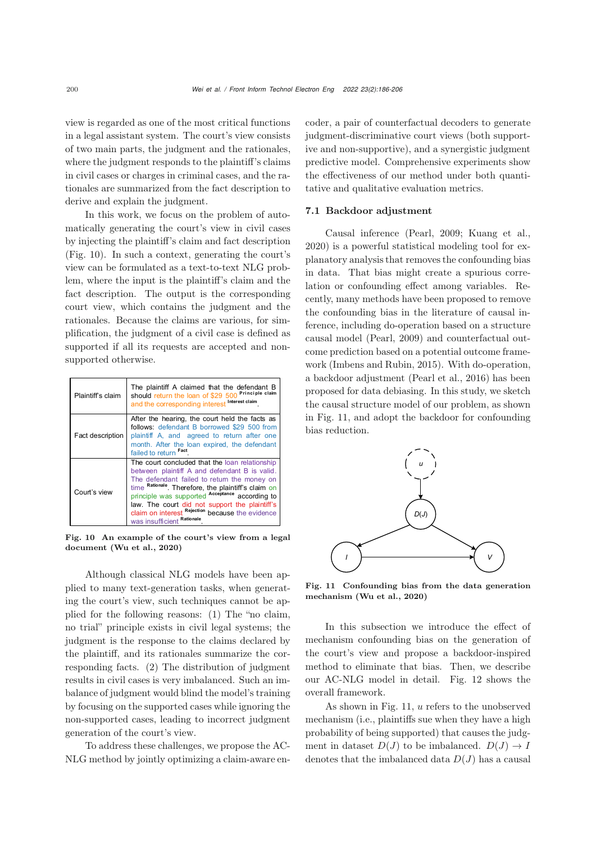view is regarded as one of the most critical functions in a legal assistant system. The court's view consists of two main parts, the judgment and the rationales, where the judgment responds to the plaintiff's claims in civil cases or charges in criminal cases, and the rationales are summarized from the fact description to derive and explain the judgment.

In this work, we focus on the problem of automatically generating the court's view in civil cases by injecting the plaintiff's claim and fact description (Fig. [10\)](#page-14-0). In such a context, generating the court's view can be formulated as a text-to-text NLG problem, where the input is the plaintiff's claim and the fact description. The output is the corresponding court view, which contains the judgment and the rationales. Because the claims are various, for simplification, the judgment of a civil case is defined as supported if all its requests are accepted and nonsupported otherwise.

| Plaintiff's claim | The plaintiff A claimed that the defendant B should return the loan of \$29 500 Principle claim<br>and the corresponding interest Interest claim                                                                                                                                                                                                                                             |
|-------------------|----------------------------------------------------------------------------------------------------------------------------------------------------------------------------------------------------------------------------------------------------------------------------------------------------------------------------------------------------------------------------------------------|
| Fact description  | After the hearing, the court held the facts as<br>follows: defendant B borrowed \$29 500 from<br>plaintiff A, and agreed to return after one<br>month. After the loan expired, the defendant<br>failed to return Fact                                                                                                                                                                        |
| Court's view      | The court concluded that the loan relationship<br>between plaintiff A and defendant B is valid.<br>The defendant failed to return the money on<br>time Rationale. Therefore, the plaintiff's claim on<br>principle was supported Acceptance according to<br>law. The court did not support the plaintiff's<br>claim on interest Rejection because the evidence<br>was insufficient Rationale |

<span id="page-14-0"></span>Fig. 10 An example of the court's view from a legal document [\(Wu et al.](#page-20-4), [2020](#page-20-4))

Although classical NLG models have been applied to many text-generation tasks, when generating the court's view, such techniques cannot be applied for the following reasons: (1) The "no claim, no trial" principle exists in civil legal systems; the judgment is the response to the claims declared by the plaintiff, and its rationales summarize the corresponding facts. (2) The distribution of judgment results in civil cases is very imbalanced. Such an imbalance of judgment would blind the model's training by focusing on the supported cases while ignoring the non-supported cases, leading to incorrect judgment generation of the court's view.

To address these challenges, we propose the AC-NLG method by jointly optimizing a claim-aware encoder, a pair of counterfactual decoders to generate judgment-discriminative court views (both supportive and non-supportive), and a synergistic judgment predictive model. Comprehensive experiments show the effectiveness of our method under both quantitative and qualitative evaluation metrics.

#### 7.1 Backdoor adjustment

Causal inference [\(Pearl](#page-20-22), [2009;](#page-20-22) [Kuang et al.](#page-20-23), [2020](#page-20-23)) is a powerful statistical modeling tool for explanatory analysis that removes the confounding bias in data. That bias might create a spurious correlation or confounding effect among variables. Recently, many methods have been proposed to remove the confounding bias in the literature of causal inference, including do-operation based on a structure causal model [\(Pearl](#page-20-22), [2009](#page-20-22)) and counterfactual outcome prediction based on a potential outcome framework [\(Imbens and Rubin](#page-19-7), [2015](#page-19-7)). With do-operation, a backdoor adjustment [\(Pearl et al.](#page-20-24), [2016\)](#page-20-24) has been proposed for data debiasing. In this study, we sketch the causal structure model of our problem, as shown in Fig. [11,](#page-14-1) and adopt the backdoor for confounding bias reduction.



<span id="page-14-1"></span>Fig. 11 Confounding bias from the data generation mechanism [\(Wu et al.](#page-20-4), [2020](#page-20-4))

In this subsection we introduce the effect of mechanism confounding bias on the generation of the court's view and propose a backdoor-inspired method to eliminate that bias. Then, we describe our AC-NLG model in detail. Fig. [12](#page-15-0) shows the overall framework.

As shown in Fig. [11,](#page-14-1) u refers to the unobserved mechanism (i.e., plaintiffs sue when they have a high probability of being supported) that causes the judgment in dataset  $D(J)$  to be imbalanced.  $D(J) \rightarrow I$ denotes that the imbalanced data  $D(J)$  has a causal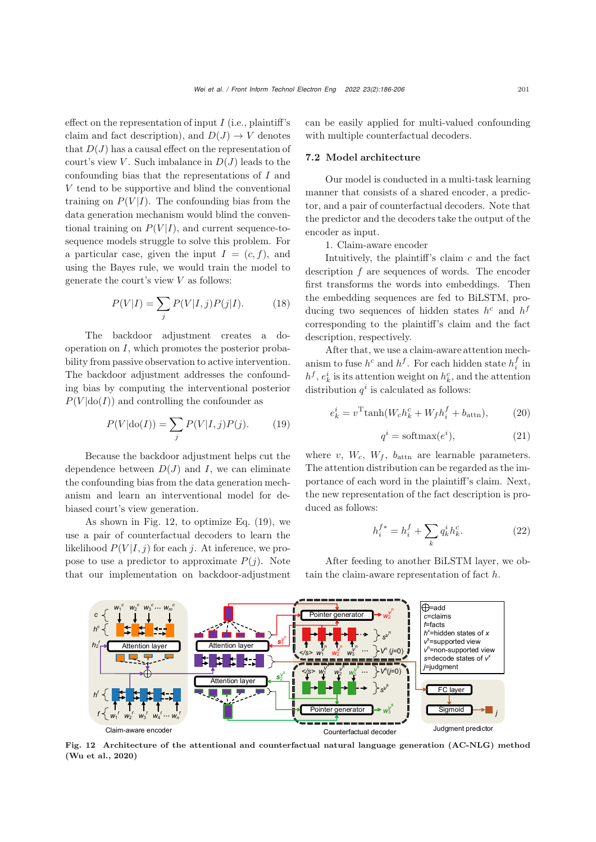effect on the representation of input  $I$  (i.e., plaintiff's claim and fact description), and  $D(J) \to V$  denotes that  $D(J)$  has a causal effect on the representation of court's view V. Such imbalance in  $D(J)$  leads to the confounding bias that the representations of I and V tend to be supportive and blind the conventional training on  $P(V|I)$ . The confounding bias from the data generation mechanism would blind the conventional training on  $P(V|I)$ , and current sequence-tosequence models struggle to solve this problem. For a particular case, given the input  $I = (c, f)$ , and using the Bayes rule, we would train the model to generate the court's view  $V$  as follows:

$$
P(V|I) = \sum_{j} P(V|I,j)P(j|I). \tag{18}
$$

The backdoor adjustment creates a dooperation on  $I$ , which promotes the posterior probability from passive observation to active intervention. The backdoor adjustment addresses the confounding bias by computing the interventional posterior  $P(V | do(I))$  and controlling the confounder as

<span id="page-15-1"></span>
$$
P(V|\text{do}(I)) = \sum_{j} P(V|I,j)P(j). \tag{19}
$$

Because the backdoor adjustment helps cut the dependence between  $D(J)$  and I, we can eliminate the confounding bias from the data generation mechanism and learn an interventional model for debiased court's view generation.

As shown in Fig. [12,](#page-15-0) to optimize Eq. [\(19\)](#page-15-1), we use a pair of counterfactual decoders to learn the likelihood  $P(V|I,j)$  for each j. At inference, we propose to use a predictor to approximate  $P(j)$ . Note that our implementation on backdoor-adjustment

can be easily applied for multi-valued confounding with multiple counterfactual decoders.

## 7.2 Model architecture

Our model is conducted in a multi-task learning manner that consists of a shared encoder, a predictor, and a pair of counterfactual decoders. Note that the predictor and the decoders take the output of the encoder as input.

1. Claim-aware encoder

Intuitively, the plaintiff's claim  $c$  and the fact description f are sequences of words. The encoder first transforms the words into embeddings. Then the embedding sequences are fed to BiLSTM, producing two sequences of hidden states  $h^c$  and  $h^f$ corresponding to the plaintiff's claim and the fact description, respectively.

After that, we use a claim-aware attention mechanism to fuse  $h^c$  and  $h^f$ . For each hidden state  $h^f_i$  in  $h^f$ ,  $e^i_k$  is its attention weight on  $h^c_k$ , and the attention distribution  $q^i$  is calculated as follows:

$$
e_k^i = v^{\mathrm{T}} \tanh(W_c h_k^c + W_f h_i^f + b_{\mathrm{attn}}),\tag{20}
$$

<span id="page-15-2"></span>
$$
q^i = \text{softmax}(e^i),\tag{21}
$$

where  $v, W_c, W_f, b_{\text{attn}}$  are learnable parameters. The attention distribution can be regarded as the importance of each word in the plaintiff's claim. Next, the new representation of the fact description is produced as follows:

$$
h_i^{f*} = h_i^f + \sum_k q_k^i h_k^c.
$$
 (22)

After feeding to another BiLSTM layer, we obtain the claim-aware representation of fact  $h$ .

<span id="page-15-0"></span>



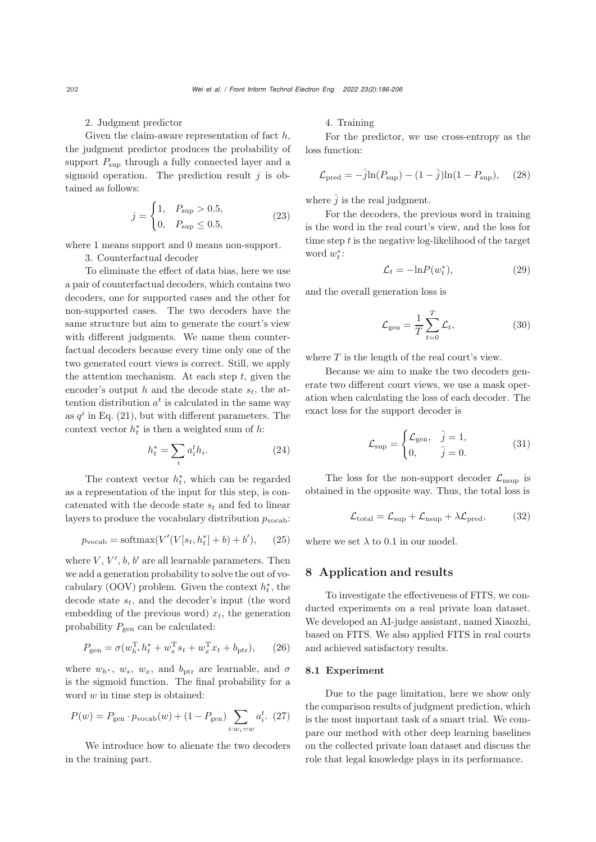#### 2. Judgment predictor

Given the claim-aware representation of fact  $h$ , the judgment predictor produces the probability of support  $P_{\text{sup}}$  through a fully connected layer and a sigmoid operation. The prediction result  $j$  is obtained as follows:

$$
j = \begin{cases} 1, & P_{\text{sup}} > 0.5, \\ 0, & P_{\text{sup}} \le 0.5, \end{cases}
$$
 (23)

where 1 means support and 0 means non-support.

3. Counterfactual decoder

To eliminate the effect of data bias, here we use a pair of counterfactual decoders, which contains two decoders, one for supported cases and the other for non-supported cases. The two decoders have the same structure but aim to generate the court's view with different judgments. We name them counterfactual decoders because every time only one of the two generated court views is correct. Still, we apply the attention mechanism. At each step  $t$ , given the encoder's output h and the decode state s*t*, the attention distribution  $a^t$  is calculated in the same way as  $q^i$  in Eq.  $(21)$ , but with different parameters. The context vector  $h_t^*$  is then a weighted sum of h:

$$
h_t^* = \sum_i a_i^t h_i. \tag{24}
$$

The context vector  $h_t^*$ , which can be regarded as a representation of the input for this step, is concatenated with the decode state s*<sup>t</sup>* and fed to linear layers to produce the vocabulary distribution  $p_{\text{vocab}}$ :

$$
p_{\text{vocab}} = \text{softmax}(V'(V[s_t, h_t^*] + b) + b'), \quad (25)
$$

where  $V, V', b, b'$  are all learnable parameters. Then we add a generation probability to solve the out of vocabulary (OOV) problem. Given the context  $h_t^*$ , the decode state s*t*, and the decoder's input (the word embedding of the previous word)  $x_t$ , the generation probability  $P_{\text{gen}}$  can be calculated:

$$
P_{\text{gen}} = \sigma(w_{h^*}^{\text{T}} h_t^* + w_s^{\text{T}} s_t + w_x^{\text{T}} x_t + b_{\text{ptr}}), \quad (26)
$$

where  $w_{h^*}$ ,  $w_s$ ,  $w_x$ , and  $b_{\text{ptr}}$  are learnable, and  $\sigma$ is the sigmoid function. The final probability for a word  $w$  in time step is obtained:

$$
P(w) = P_{\text{gen}} \cdot p_{\text{vocab}}(w) + (1 - P_{\text{gen}}) \sum_{i:w_i=w} a_i^t. (27)
$$

We introduce how to alienate the two decoders in the training part.

## 4. Training

For the predictor, we use cross-entropy as the loss function:

$$
\mathcal{L}_{\text{pred}} = -\hat{j}\ln(P_{\text{sup}}) - (1 - \hat{j})\ln(1 - P_{\text{sup}}), \quad (28)
$$

where  $\hat{j}$  is the real judgment.

For the decoders, the previous word in training is the word in the real court's view, and the loss for time step  $t$  is the negative log-likelihood of the target word  $w_t^*$ :

$$
\mathcal{L}_t = -\ln P(w_t^*),\tag{29}
$$

and the overall generation loss is

$$
\mathcal{L}_{\text{gen}} = \frac{1}{T} \sum_{t=0}^{T} \mathcal{L}_t,\tag{30}
$$

where  $T$  is the length of the real court's view.

Because we aim to make the two decoders generate two different court views, we use a mask operation when calculating the loss of each decoder. The exact loss for the support decoder is

$$
\mathcal{L}_{\text{sup}} = \begin{cases} \mathcal{L}_{\text{gen}}, & \hat{j} = 1, \\ 0, & \hat{j} = 0. \end{cases}
$$
 (31)

The loss for the non-support decoder  $\mathcal{L}_{\text{nsup}}$  is obtained in the opposite way. Thus, the total loss is

$$
\mathcal{L}_{\text{total}} = \mathcal{L}_{\text{sup}} + \mathcal{L}_{\text{nsup}} + \lambda \mathcal{L}_{\text{pred}},\tag{32}
$$

where we set  $\lambda$  to 0.1 in our model.

## 8 Application and results

To investigate the effectiveness of FITS, we conducted experiments on a real private loan dataset. We developed an AI-judge assistant, named Xiaozhi, based on FITS. We also applied FITS in real courts and achieved satisfactory results.

## 8.1 Experiment

Due to the page limitation, here we show only the comparison results of judgment prediction, which is the most important task of a smart trial. We compare our method with other deep learning baselines on the collected private loan dataset and discuss the role that legal knowledge plays in its performance.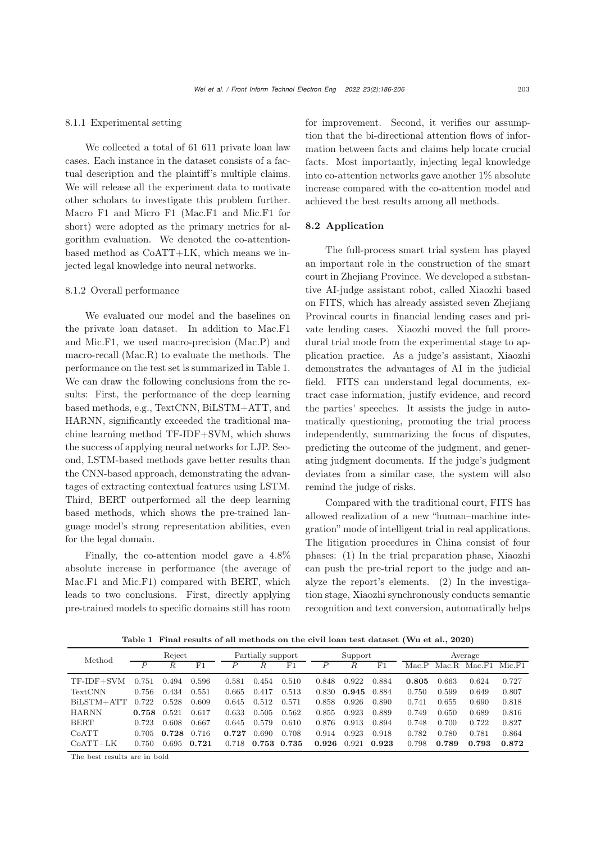#### 8.1.1 Experimental setting

We collected a total of 61 611 private loan law cases. Each instance in the dataset consists of a factual description and the plaintiff's multiple claims. We will release all the experiment data to motivate other scholars to investigate this problem further. Macro F1 and Micro F1 (Mac.F1 and Mic.F1 for short) were adopted as the primary metrics for algorithm evaluation. We denoted the co-attentionbased method as CoATT+LK, which means we injected legal knowledge into neural networks.

## 8.1.2 Overall performance

We evaluated our model and the baselines on the private loan dataset. In addition to Mac.F1 and Mic.F1, we used macro-precision (Mac.P) and macro-recall (Mac.R) to evaluate the methods. The performance on the test set is summarized in Table [1.](#page-17-0) We can draw the following conclusions from the results: First, the performance of the deep learning based methods, e.g., TextCNN, BiLSTM+ATT, and HARNN, significantly exceeded the traditional machine learning method TF-IDF+SVM, which shows the success of applying neural networks for LJP. Second, LSTM-based methods gave better results than the CNN-based approach, demonstrating the advantages of extracting contextual features using LSTM. Third, BERT outperformed all the deep learning based methods, which shows the pre-trained language model's strong representation abilities, even for the legal domain.

Finally, the co-attention model gave a 4.8% absolute increase in performance (the average of Mac.F1 and Mic.F1) compared with BERT, which leads to two conclusions. First, directly applying pre-trained models to specific domains still has room

for improvement. Second, it verifies our assumption that the bi-directional attention flows of information between facts and claims help locate crucial facts. Most importantly, injecting legal knowledge into co-attention networks gave another 1% absolute increase compared with the co-attention model and achieved the best results among all methods.

## 8.2 Application

The full-process smart trial system has played an important role in the construction of the smart court in Zhejiang Province. We developed a substantive AI-judge assistant robot, called Xiaozhi based on FITS, which has already assisted seven Zhejiang Provincal courts in financial lending cases and private lending cases. Xiaozhi moved the full procedural trial mode from the experimental stage to application practice. As a judge's assistant, Xiaozhi demonstrates the advantages of AI in the judicial field. FITS can understand legal documents, extract case information, justify evidence, and record the parties' speeches. It assists the judge in automatically questioning, promoting the trial process independently, summarizing the focus of disputes, predicting the outcome of the judgment, and generating judgment documents. If the judge's judgment deviates from a similar case, the system will also remind the judge of risks.

Compared with the traditional court, FITS has allowed realization of a new "human–machine integration" mode of intelligent trial in real applications. The litigation procedures in China consist of four phases: (1) In the trial preparation phase, Xiaozhi can push the pre-trial report to the judge and analyze the report's elements. (2) In the investigation stage, Xiaozhi synchronously conducts semantic recognition and text conversion, automatically helps

<span id="page-17-0"></span>Table 1 Final results of all methods on the civil loan test dataset [\(Wu et al., 2020\)](#page-20-4)

| Method         | Reject           |       | Partially support |       |       | Support        |       |       | Average     |       |       |        |          |
|----------------|------------------|-------|-------------------|-------|-------|----------------|-------|-------|-------------|-------|-------|--------|----------|
|                | $\boldsymbol{P}$ | R     | F1                |       | R.    | F <sub>1</sub> | D     | R.    | $_{\rm F1}$ | MacP  | Mac R | Mac.F1 | $Mic$ F1 |
| $TF-IDF + SVM$ | 0.751            | 0.494 | 0.596             | 0.581 | 0.454 | 0.510          | 0.848 | 0.922 | 0.884       | 0.805 | 0.663 | 0.624  | 0.727    |
| TextCNN        | 0.756            | 0.434 | 0.551             | 0.665 | 0.417 | 0.513          | 0.830 | 0.945 | 0.884       | 0.750 | 0.599 | 0.649  | 0.807    |
| BiLSTM+ATT     | 0.722            | 0.528 | 0.609             | 0.645 | 0.512 | 0.571          | 0.858 | 0.926 | 0.890       | 0.741 | 0.655 | 0.690  | 0.818    |
| <b>HARNN</b>   | 0.758            | 0.521 | 0.617             | 0.633 | 0.505 | 0.562          | 0.855 | 0.923 | 0.889       | 0.749 | 0.650 | 0.689  | 0.816    |
| <b>BERT</b>    | 0.723            | 0.608 | 0.667             | 0.645 | 0.579 | 0.610          | 0.876 | 0.913 | 0.894       | 0.748 | 0.700 | 0.722  | 0.827    |
| CoATT          | 0.705            | 0.728 | 0.716             | 0.727 | 0.690 | 0.708          | 0.914 | 0.923 | 0.918       | 0.782 | 0.780 | 0.781  | 0.864    |
| $CoATT+LK$     | 0.750            | 0.695 | 0.721             | 0.718 | 0.753 | 0.735          | 0.926 | 0.921 | 0.923       | 0.798 | 0.789 | 0.793  | 0.872    |

The best results are in bold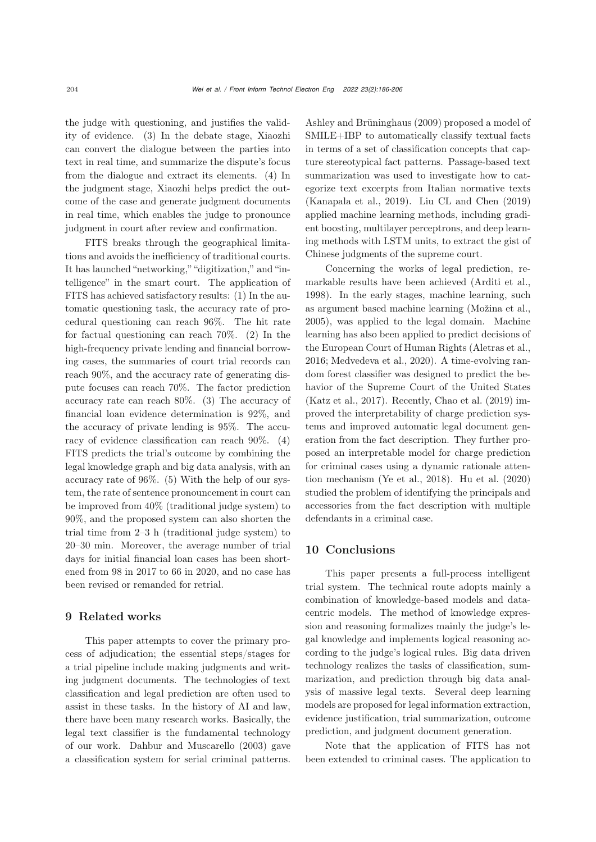the judge with questioning, and justifies the validity of evidence. (3) In the debate stage, Xiaozhi can convert the dialogue between the parties into text in real time, and summarize the dispute's focus from the dialogue and extract its elements. (4) In the judgment stage, Xiaozhi helps predict the outcome of the case and generate judgment documents in real time, which enables the judge to pronounce judgment in court after review and confirmation.

FITS breaks through the geographical limitations and avoids the inefficiency of traditional courts. It has launched "networking," "digitization," and "intelligence" in the smart court. The application of FITS has achieved satisfactory results: (1) In the automatic questioning task, the accuracy rate of procedural questioning can reach 96%. The hit rate for factual questioning can reach 70%. (2) In the high-frequency private lending and financial borrowing cases, the summaries of court trial records can reach 90%, and the accuracy rate of generating dispute focuses can reach 70%. The factor prediction accuracy rate can reach 80%. (3) The accuracy of financial loan evidence determination is 92%, and the accuracy of private lending is 95%. The accuracy of evidence classification can reach 90%. (4) FITS predicts the trial's outcome by combining the legal knowledge graph and big data analysis, with an accuracy rate of 96%. (5) With the help of our system, the rate of sentence pronouncement in court can be improved from 40% (traditional judge system) to 90%, and the proposed system can also shorten the trial time from 2–3 h (traditional judge system) to 20–30 min. Moreover, the average number of trial days for initial financial loan cases has been shortened from 98 in 2017 to 66 in 2020, and no case has been revised or remanded for retrial.

# 9 Related works

This paper attempts to cover the primary process of adjudication; the essential steps/stages for a trial pipeline include making judgments and writing judgment documents. The technologies of text classification and legal prediction are often used to assist in these tasks. In the history of AI and law, there have been many research works. Basically, the legal text classifier is the fundamental technology of our work. [Dahbur and Muscarello](#page-19-8) [\(2003\)](#page-19-8) gave a classification system for serial criminal patterns.

[Ashley and Brüninghaus](#page-19-9) [\(2009\)](#page-19-9) proposed a model of SMILE+IBP to automatically classify textual facts in terms of a set of classification concepts that capture stereotypical fact patterns. Passage-based text summarization was used to investigate how to categorize text excerpts from Italian normative texts [\(Kanapala et al., 2019\)](#page-20-25). [Liu CL and Chen](#page-20-26) [\(2019](#page-20-26)) applied machine learning methods, including gradient boosting, multilayer perceptrons, and deep learning methods with LSTM units, to extract the gist of Chinese judgments of the supreme court.

Concerning the works of legal prediction, remarkable results have been achieved [\(Arditi et al.](#page-19-10), [1998](#page-19-10)). In the early stages, machine learning, such as argument based machine learning [\(Možina et al.](#page-20-27), [2005](#page-20-27)), was applied to the legal domain. Machine learning has also been applied to predict decisions of the European Court of Human Rights [\(Aletras et al.](#page-19-11), [2016](#page-19-11); [Medvedeva et al., 2020\)](#page-20-28). A time-evolving random forest classifier was designed to predict the behavior of the Supreme Court of the United States [\(Katz et al.](#page-20-29), [2017\)](#page-20-29). Recently, [Chao et al.](#page-19-12) [\(2019\)](#page-19-12) improved the interpretability of charge prediction systems and improved automatic legal document generation from the fact description. They further proposed an interpretable model for charge prediction for criminal cases using a dynamic rationale attention mechanism [\(Ye et al.](#page-20-21), [2018](#page-20-21)). [Hu et al.](#page-19-13) [\(2020](#page-19-13)) studied the problem of identifying the principals and accessories from the fact description with multiple defendants in a criminal case.

## 10 Conclusions

This paper presents a full-process intelligent trial system. The technical route adopts mainly a combination of knowledge-based models and datacentric models. The method of knowledge expression and reasoning formalizes mainly the judge's legal knowledge and implements logical reasoning according to the judge's logical rules. Big data driven technology realizes the tasks of classification, summarization, and prediction through big data analysis of massive legal texts. Several deep learning models are proposed for legal information extraction, evidence justification, trial summarization, outcome prediction, and judgment document generation.

Note that the application of FITS has not been extended to criminal cases. The application to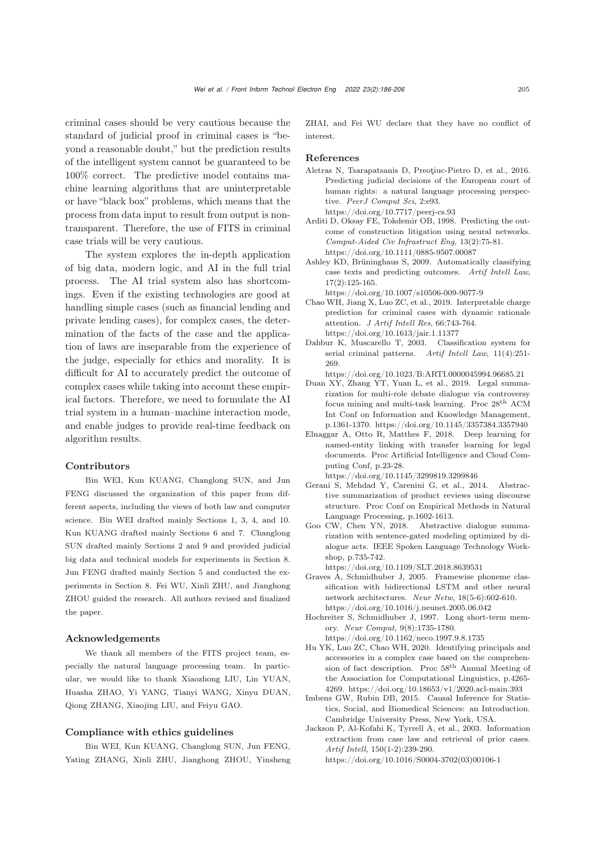criminal cases should be very cautious because the standard of judicial proof in criminal cases is "beyond a reasonable doubt," but the prediction results of the intelligent system cannot be guaranteed to be 100% correct. The predictive model contains machine learning algorithms that are uninterpretable or have "black box" problems, which means that the process from data input to result from output is nontransparent. Therefore, the use of FITS in criminal case trials will be very cautious.

The system explores the in-depth application of big data, modern logic, and AI in the full trial process. The AI trial system also has shortcomings. Even if the existing technologies are good at handling simple cases (such as financial lending and private lending cases), for complex cases, the determination of the facts of the case and the application of laws are inseparable from the experience of the judge, especially for ethics and morality. It is difficult for AI to accurately predict the outcome of complex cases while taking into account these empirical factors. Therefore, we need to formulate the AI trial system in a human–machine interaction mode, and enable judges to provide real-time feedback on algorithm results.

#### Contributors

Bin WEI, Kun KUANG, Changlong SUN, and Jun FENG discussed the organization of this paper from different aspects, including the views of both law and computer science. Bin WEI drafted mainly Sections 1, 3, 4, and 10. Kun KUANG drafted mainly Sections 6 and 7. Changlong SUN drafted mainly Sections 2 and 9 and provided judicial big data and technical models for experiments in Section 8. Jun FENG drafted mainly Section 5 and conducted the experiments in Section 8. Fei WU, Xinli ZHU, and Jianghong ZHOU guided the research. All authors revised and finalized the paper.

## Acknowledgements

We thank all members of the FITS project team, especially the natural language processing team. In particular, we would like to thank Xiaozhong LIU, Lin YUAN, Huasha ZHAO, Yi YANG, Tianyi WANG, Xinyu DUAN, Qiong ZHANG, Xiaojing LIU, and Feiyu GAO.

#### Compliance with ethics guidelines

Bin WEI, Kun KUANG, Changlong SUN, Jun FENG, Yating ZHANG, Xinli ZHU, Jianghong ZHOU, Yinsheng ZHAI, and Fei WU declare that they have no conflict of interest.

## References

- <span id="page-19-11"></span>Aletras N, Tsarapatsanis D, Preoţiuc-Pietro D, et al., 2016. Predicting judicial decisions of the European court of human rights: a natural language processing perspective. *PeerJ Comput Sci*, 2:e93. https://doi.org/10.7717/peerj-cs.93
- <span id="page-19-10"></span>Arditi D, Oksay FE, Tokdemir OB, 1998. Predicting the outcome of construction litigation using neural networks. *Comput-Aided Civ Infrastruct Eng*, 13(2):75-81. https://doi.org/10.1111/0885-9507.00087
- <span id="page-19-9"></span>Ashley KD, Brüninghaus S, 2009. Automatically classifying case texts and predicting outcomes. *Artif Intell Law*, 17(2):125-165. https://doi.org/10.1007/s10506-009-9077-9
- <span id="page-19-12"></span>Chao WH, Jiang X, Luo ZC, et al., 2019. Interpretable charge prediction for criminal cases with dynamic rationale attention. *J Artif Intell Res*, 66:743-764. https://doi.org/10.1613/jair.1.11377
- <span id="page-19-8"></span>Dahbur K, Muscarello T, 2003. Classification system for serial criminal patterns. *Artif Intell Law*, 11(4):251- 269.
- https://doi.org/10.1023/B:ARTI.0000045994.96685.21
- <span id="page-19-0"></span>Duan XY, Zhang YT, Yuan L, et al., 2019. Legal summarization for multi-role debate dialogue via controversy focus mining and multi-task learning. Proc 28th ACM Int Conf on Information and Knowledge Management, p.1361-1370. https://doi.org/10.1145/3357384.3357940
- <span id="page-19-2"></span>Elnaggar A, Otto R, Matthes F, 2018. Deep learning for named-entity linking with transfer learning for legal documents. Proc Artificial Intelligence and Cloud Computing Conf, p.23-28. https://doi.org/10.1145/3299819.3299846
- <span id="page-19-5"></span>Gerani S, Mehdad Y, Carenini G, et al., 2014. Abstractive summarization of product reviews using discourse structure. Proc Conf on Empirical Methods in Natural
- <span id="page-19-6"></span>Language Processing, p.1602-1613. Goo CW, Chen YN, 2018. Abstractive dialogue summarization with sentence-gated modeling optimized by dialogue acts. IEEE Spoken Language Technology Workshop, p.735-742.

https://doi.org/10.1109/SLT.2018.8639531

- <span id="page-19-4"></span>Graves A, Schmidhuber J, 2005. Framewise phoneme classification with bidirectional LSTM and other neural network architectures. *Neur Netw*, 18(5-6):602-610. https://doi.org/10.1016/j.neunet.2005.06.042
- <span id="page-19-3"></span>Hochreiter S, Schmidhuber J, 1997. Long short-term memory. *Neur Comput*, 9(8):1735-1780.

https://doi.org/10.1162/neco.1997.9.8.1735

- <span id="page-19-13"></span>Hu YK, Luo ZC, Chao WH, 2020. Identifying principals and accessories in a complex case based on the comprehension of fact description. Proc 58th Annual Meeting of the Association for Computational Linguistics, p.4265- 4269. https://doi.org/10.18653/v1/2020.acl-main.393
- <span id="page-19-7"></span>Imbens GW, Rubin DB, 2015. Causal Inference for Statistics, Social, and Biomedical Sciences: an Introduction. Cambridge University Press, New York, USA.
- <span id="page-19-1"></span>Jackson P, Al-Kofahi K, Tyrrell A, et al., 2003. Information extraction from case law and retrieval of prior cases. *Artif Intell*, 150(1-2):239-290.

https://doi.org/10.1016/S0004-3702(03)00106-1